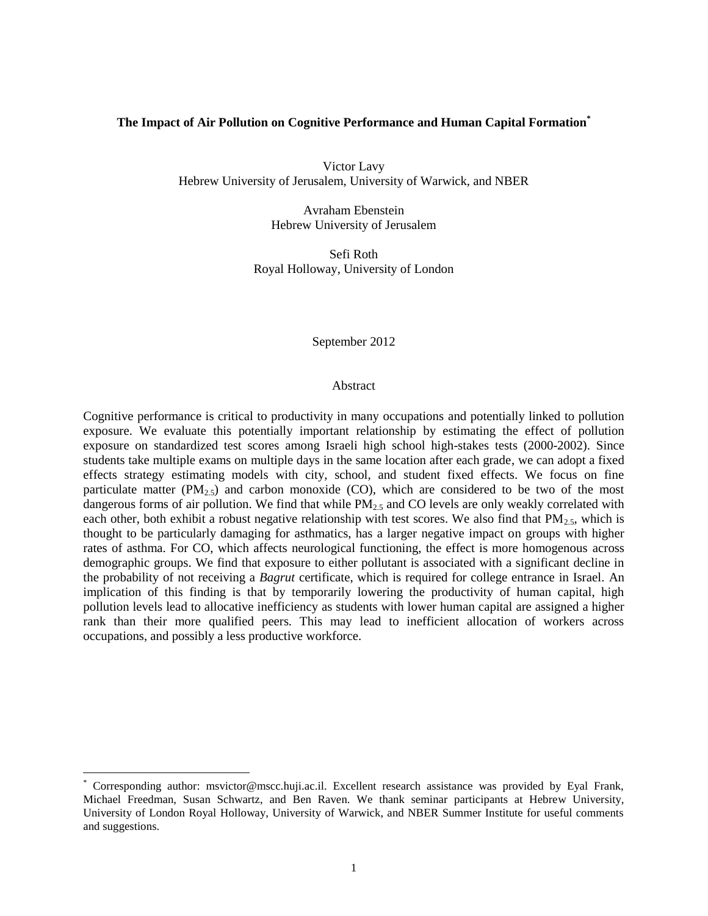# **The Impact of Air Pollution on Cognitive Performance and Human Capital Formation\***

Victor Lavy Hebrew University of Jerusalem, University of Warwick, and NBER

> Avraham Ebenstein Hebrew University of Jerusalem

Sefi Roth Royal Holloway, University of London

September 2012

#### Abstract

Cognitive performance is critical to productivity in many occupations and potentially linked to pollution exposure. We evaluate this potentially important relationship by estimating the effect of pollution exposure on standardized test scores among Israeli high school high-stakes tests (2000-2002). Since students take multiple exams on multiple days in the same location after each grade, we can adopt a fixed effects strategy estimating models with city, school, and student fixed effects. We focus on fine particulate matter ( $PM_{2.5}$ ) and carbon monoxide (CO), which are considered to be two of the most dangerous forms of air pollution. We find that while  $PM<sub>2.5</sub>$  and CO levels are only weakly correlated with each other, both exhibit a robust negative relationship with test scores. We also find that  $PM<sub>2.5</sub>$ , which is thought to be particularly damaging for asthmatics, has a larger negative impact on groups with higher rates of asthma. For CO, which affects neurological functioning, the effect is more homogenous across demographic groups. We find that exposure to either pollutant is associated with a significant decline in the probability of not receiving a *Bagrut* certificate, which is required for college entrance in Israel. An implication of this finding is that by temporarily lowering the productivity of human capital, high pollution levels lead to allocative inefficiency as students with lower human capital are assigned a higher rank than their more qualified peers. This may lead to inefficient allocation of workers across occupations, and possibly a less productive workforce.

 $\overline{a}$ 

Corresponding author: msvictor@mscc.huji.ac.il. Excellent research assistance was provided by Eyal Frank, Michael Freedman, Susan Schwartz, and Ben Raven. We thank seminar participants at Hebrew University, University of London Royal Holloway, University of Warwick, and NBER Summer Institute for useful comments and suggestions.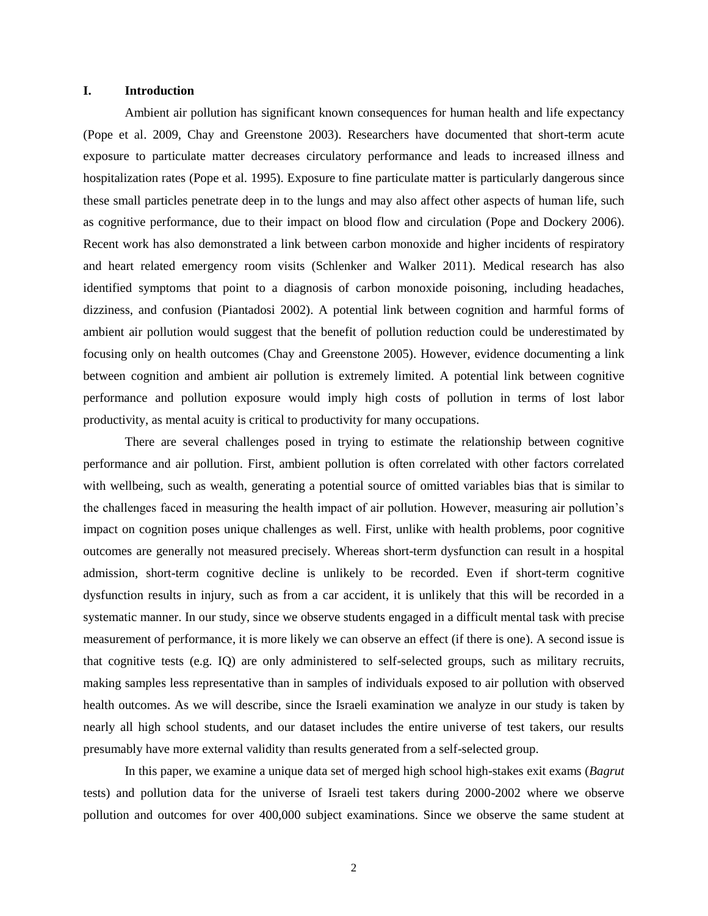#### **I. Introduction**

Ambient air pollution has significant known consequences for human health and life expectancy (Pope et al. 2009, Chay and Greenstone 2003). Researchers have documented that short-term acute exposure to particulate matter decreases circulatory performance and leads to increased illness and hospitalization rates (Pope et al. 1995). Exposure to fine particulate matter is particularly dangerous since these small particles penetrate deep in to the lungs and may also affect other aspects of human life, such as cognitive performance, due to their impact on blood flow and circulation (Pope and Dockery 2006). Recent work has also demonstrated a link between carbon monoxide and higher incidents of respiratory and heart related emergency room visits (Schlenker and Walker 2011). Medical research has also identified symptoms that point to a diagnosis of carbon monoxide poisoning, including headaches, dizziness, and confusion (Piantadosi 2002). A potential link between cognition and harmful forms of ambient air pollution would suggest that the benefit of pollution reduction could be underestimated by focusing only on health outcomes (Chay and Greenstone 2005). However, evidence documenting a link between cognition and ambient air pollution is extremely limited. A potential link between cognitive performance and pollution exposure would imply high costs of pollution in terms of lost labor productivity, as mental acuity is critical to productivity for many occupations.

There are several challenges posed in trying to estimate the relationship between cognitive performance and air pollution. First, ambient pollution is often correlated with other factors correlated with wellbeing, such as wealth, generating a potential source of omitted variables bias that is similar to the challenges faced in measuring the health impact of air pollution. However, measuring air pollution's impact on cognition poses unique challenges as well. First, unlike with health problems, poor cognitive outcomes are generally not measured precisely. Whereas short-term dysfunction can result in a hospital admission, short-term cognitive decline is unlikely to be recorded. Even if short-term cognitive dysfunction results in injury, such as from a car accident, it is unlikely that this will be recorded in a systematic manner. In our study, since we observe students engaged in a difficult mental task with precise measurement of performance, it is more likely we can observe an effect (if there is one). A second issue is that cognitive tests (e.g. IQ) are only administered to self-selected groups, such as military recruits, making samples less representative than in samples of individuals exposed to air pollution with observed health outcomes. As we will describe, since the Israeli examination we analyze in our study is taken by nearly all high school students, and our dataset includes the entire universe of test takers, our results presumably have more external validity than results generated from a self-selected group.

In this paper, we examine a unique data set of merged high school high-stakes exit exams (*Bagrut* tests) and pollution data for the universe of Israeli test takers during 2000-2002 where we observe pollution and outcomes for over 400,000 subject examinations. Since we observe the same student at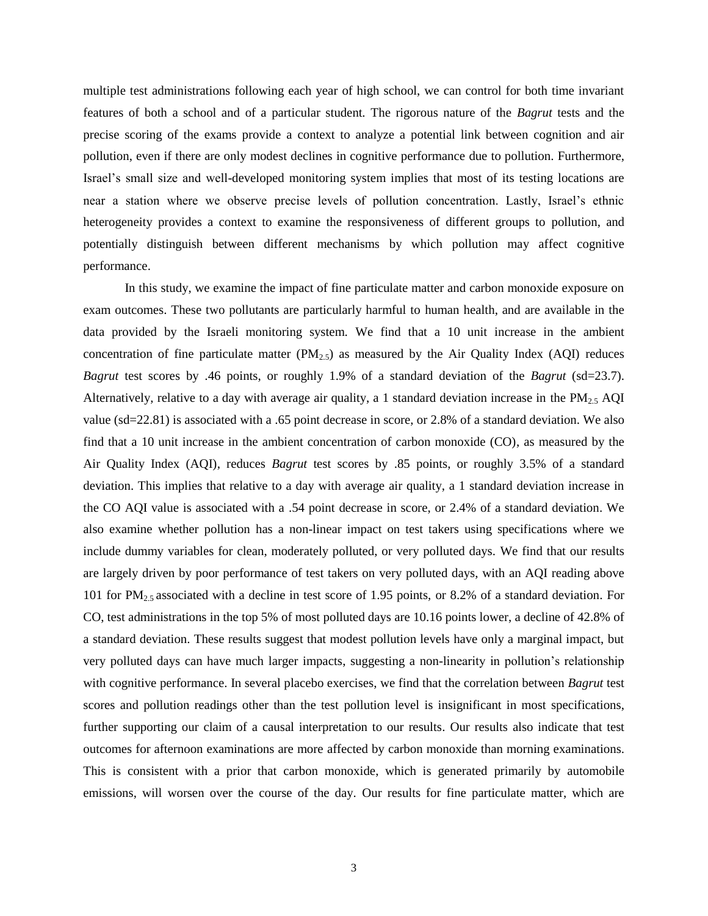multiple test administrations following each year of high school, we can control for both time invariant features of both a school and of a particular student. The rigorous nature of the *Bagrut* tests and the precise scoring of the exams provide a context to analyze a potential link between cognition and air pollution, even if there are only modest declines in cognitive performance due to pollution. Furthermore, Israel's small size and well-developed monitoring system implies that most of its testing locations are near a station where we observe precise levels of pollution concentration. Lastly, Israel's ethnic heterogeneity provides a context to examine the responsiveness of different groups to pollution, and potentially distinguish between different mechanisms by which pollution may affect cognitive performance.

In this study, we examine the impact of fine particulate matter and carbon monoxide exposure on exam outcomes. These two pollutants are particularly harmful to human health, and are available in the data provided by the Israeli monitoring system. We find that a 10 unit increase in the ambient concentration of fine particulate matter  $(PM_{2.5})$  as measured by the Air Quality Index (AQI) reduces *Bagrut* test scores by .46 points, or roughly 1.9% of a standard deviation of the *Bagrut* (sd=23.7). Alternatively, relative to a day with average air quality, a 1 standard deviation increase in the  $PM_{2.5}$  AQI value (sd=22.81) is associated with a .65 point decrease in score, or 2.8% of a standard deviation. We also find that a 10 unit increase in the ambient concentration of carbon monoxide (CO), as measured by the Air Quality Index (AQI), reduces *Bagrut* test scores by .85 points, or roughly 3.5% of a standard deviation. This implies that relative to a day with average air quality, a 1 standard deviation increase in the CO AQI value is associated with a .54 point decrease in score, or 2.4% of a standard deviation. We also examine whether pollution has a non-linear impact on test takers using specifications where we include dummy variables for clean, moderately polluted, or very polluted days. We find that our results are largely driven by poor performance of test takers on very polluted days, with an AQI reading above 101 for  $PM_{2.5}$  associated with a decline in test score of 1.95 points, or 8.2% of a standard deviation. For CO, test administrations in the top 5% of most polluted days are 10.16 points lower, a decline of 42.8% of a standard deviation. These results suggest that modest pollution levels have only a marginal impact, but very polluted days can have much larger impacts, suggesting a non-linearity in pollution's relationship with cognitive performance. In several placebo exercises, we find that the correlation between *Bagrut* test scores and pollution readings other than the test pollution level is insignificant in most specifications, further supporting our claim of a causal interpretation to our results. Our results also indicate that test outcomes for afternoon examinations are more affected by carbon monoxide than morning examinations. This is consistent with a prior that carbon monoxide, which is generated primarily by automobile emissions, will worsen over the course of the day. Our results for fine particulate matter, which are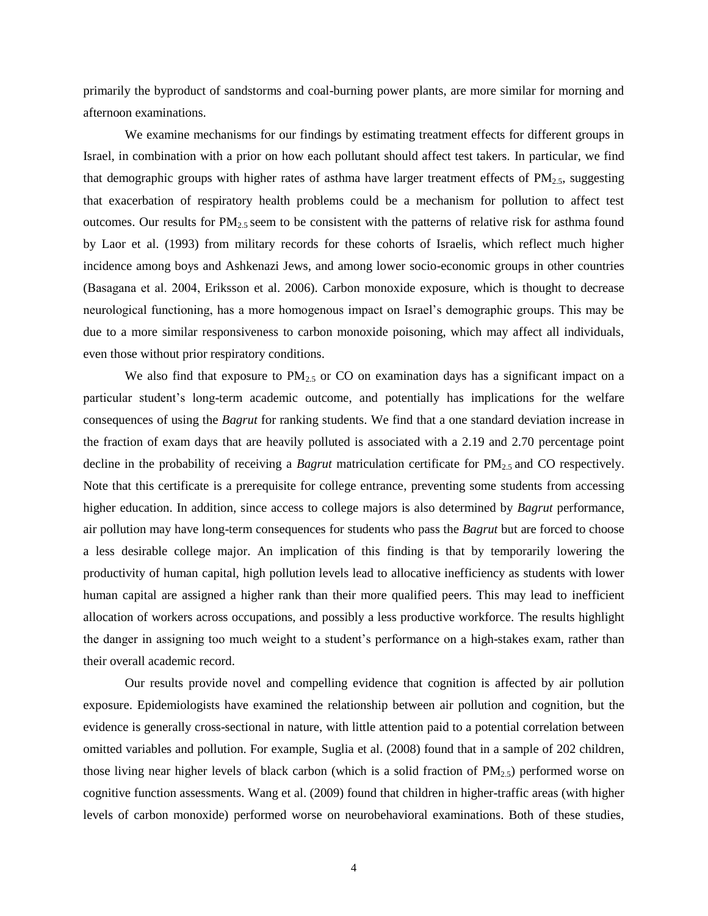primarily the byproduct of sandstorms and coal-burning power plants, are more similar for morning and afternoon examinations.

We examine mechanisms for our findings by estimating treatment effects for different groups in Israel, in combination with a prior on how each pollutant should affect test takers. In particular, we find that demographic groups with higher rates of asthma have larger treatment effects of  $PM_{2.5}$ , suggesting that exacerbation of respiratory health problems could be a mechanism for pollution to affect test outcomes. Our results for  $PM_{2.5}$  seem to be consistent with the patterns of relative risk for asthma found by Laor et al. (1993) from military records for these cohorts of Israelis, which reflect much higher incidence among boys and Ashkenazi Jews, and among lower socio-economic groups in other countries (Basagana et al. 2004, Eriksson et al. 2006). Carbon monoxide exposure, which is thought to decrease neurological functioning, has a more homogenous impact on Israel's demographic groups. This may be due to a more similar responsiveness to carbon monoxide poisoning, which may affect all individuals, even those without prior respiratory conditions.

We also find that exposure to  $PM_{2.5}$  or CO on examination days has a significant impact on a particular student's long-term academic outcome, and potentially has implications for the welfare consequences of using the *Bagrut* for ranking students. We find that a one standard deviation increase in the fraction of exam days that are heavily polluted is associated with a 2.19 and 2.70 percentage point decline in the probability of receiving a *Bagrut* matriculation certificate for PM<sub>2.5</sub> and CO respectively. Note that this certificate is a prerequisite for college entrance, preventing some students from accessing higher education. In addition, since access to college majors is also determined by *Bagrut* performance, air pollution may have long-term consequences for students who pass the *Bagrut* but are forced to choose a less desirable college major. An implication of this finding is that by temporarily lowering the productivity of human capital, high pollution levels lead to allocative inefficiency as students with lower human capital are assigned a higher rank than their more qualified peers. This may lead to inefficient allocation of workers across occupations, and possibly a less productive workforce. The results highlight the danger in assigning too much weight to a student's performance on a high-stakes exam, rather than their overall academic record.

Our results provide novel and compelling evidence that cognition is affected by air pollution exposure. Epidemiologists have examined the relationship between air pollution and cognition, but the evidence is generally cross-sectional in nature, with little attention paid to a potential correlation between omitted variables and pollution. For example, Suglia et al. (2008) found that in a sample of 202 children, those living near higher levels of black carbon (which is a solid fraction of  $PM_{2.5}$ ) performed worse on cognitive function assessments. Wang et al. (2009) found that children in higher-traffic areas (with higher levels of carbon monoxide) performed worse on neurobehavioral examinations. Both of these studies,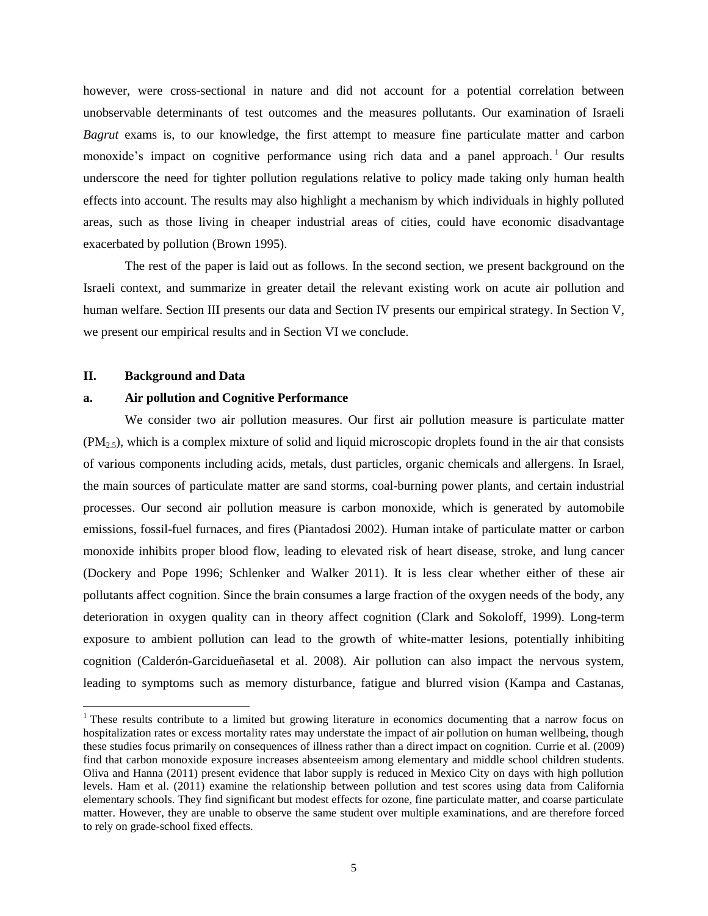however, were cross-sectional in nature and did not account for a potential correlation between unobservable determinants of test outcomes and the measures pollutants. Our examination of Israeli *Bagrut* exams is, to our knowledge, the first attempt to measure fine particulate matter and carbon monoxide's impact on cognitive performance using rich data and a panel approach.<sup>1</sup> Our results underscore the need for tighter pollution regulations relative to policy made taking only human health effects into account. The results may also highlight a mechanism by which individuals in highly polluted areas, such as those living in cheaper industrial areas of cities, could have economic disadvantage exacerbated by pollution (Brown 1995).

The rest of the paper is laid out as follows. In the second section, we present background on the Israeli context, and summarize in greater detail the relevant existing work on acute air pollution and human welfare. Section III presents our data and Section IV presents our empirical strategy. In Section V, we present our empirical results and in Section VI we conclude.

#### **II. Background and Data**

 $\overline{a}$ 

#### **a. Air pollution and Cognitive Performance**

We consider two air pollution measures. Our first air pollution measure is particulate matter  $(PM<sub>2.5</sub>)$ , which is a complex mixture of solid and liquid microscopic droplets found in the air that consists of various components including acids, metals, dust particles, organic chemicals and allergens. In Israel, the main sources of particulate matter are sand storms, coal-burning power plants, and certain industrial processes. Our second air pollution measure is carbon monoxide, which is generated by automobile emissions, fossil-fuel furnaces, and fires (Piantadosi 2002). Human intake of particulate matter or carbon monoxide inhibits proper blood flow, leading to elevated risk of heart disease, stroke, and lung cancer (Dockery and Pope 1996; Schlenker and Walker 2011). It is less clear whether either of these air pollutants affect cognition. Since the brain consumes a large fraction of the oxygen needs of the body, any deterioration in oxygen quality can in theory affect cognition (Clark and Sokoloff, 1999). Long-term exposure to ambient pollution can lead to the growth of white-matter lesions, potentially inhibiting cognition (Calderón-Garcidueñasetal et al. 2008). Air pollution can also impact the nervous system, leading to symptoms such as memory disturbance, fatigue and blurred vision (Kampa and Castanas,

<sup>&</sup>lt;sup>1</sup> These results contribute to a limited but growing literature in economics documenting that a narrow focus on hospitalization rates or excess mortality rates may understate the impact of air pollution on human wellbeing, though these studies focus primarily on consequences of illness rather than a direct impact on cognition. Currie et al. (2009) find that carbon monoxide exposure increases absenteeism among elementary and middle school children students. Oliva and Hanna (2011) present evidence that labor supply is reduced in Mexico City on days with high pollution levels. Ham et al. (2011) examine the relationship between pollution and test scores using data from California elementary schools. They find significant but modest effects for ozone, fine particulate matter, and coarse particulate matter. However, they are unable to observe the same student over multiple examinations, and are therefore forced to rely on grade-school fixed effects.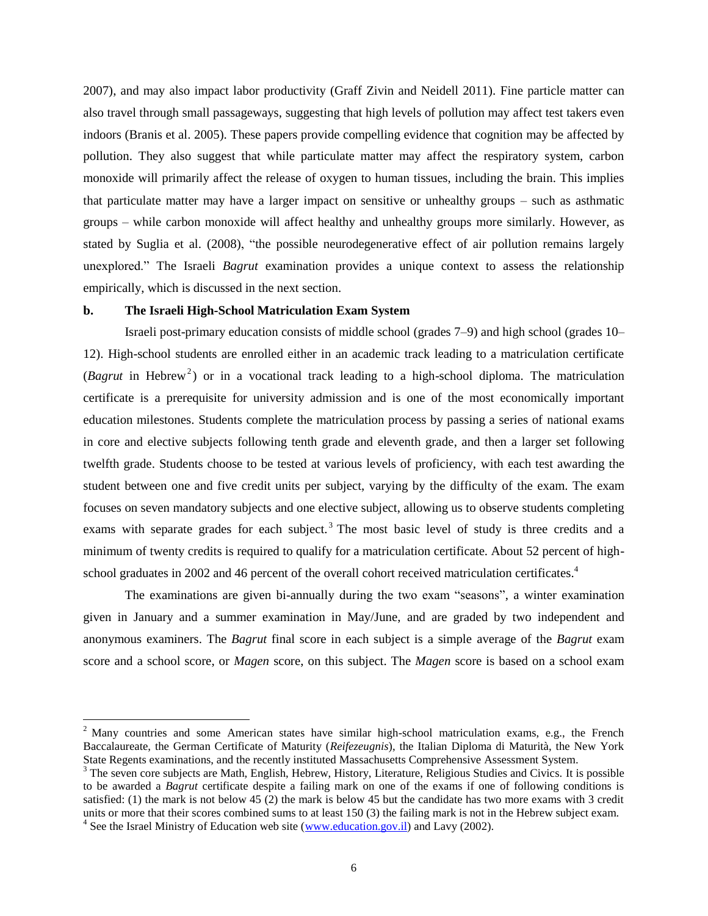2007), and may also impact labor productivity (Graff Zivin and Neidell 2011). Fine particle matter can also travel through small passageways, suggesting that high levels of pollution may affect test takers even indoors (Branis et al. 2005). These papers provide compelling evidence that cognition may be affected by pollution. They also suggest that while particulate matter may affect the respiratory system, carbon monoxide will primarily affect the release of oxygen to human tissues, including the brain. This implies that particulate matter may have a larger impact on sensitive or unhealthy groups – such as asthmatic groups – while carbon monoxide will affect healthy and unhealthy groups more similarly. However, as stated by Suglia et al. (2008), "the possible neurodegenerative effect of air pollution remains largely unexplored." The Israeli *Bagrut* examination provides a unique context to assess the relationship empirically, which is discussed in the next section.

### **b. The Israeli High-School Matriculation Exam System**

Israeli post-primary education consists of middle school (grades 7–9) and high school (grades 10– 12). High-school students are enrolled either in an academic track leading to a matriculation certificate (*Bagrut* in Hebrew<sup>2</sup>) or in a vocational track leading to a high-school diploma. The matriculation certificate is a prerequisite for university admission and is one of the most economically important education milestones. Students complete the matriculation process by passing a series of national exams in core and elective subjects following tenth grade and eleventh grade, and then a larger set following twelfth grade. Students choose to be tested at various levels of proficiency, with each test awarding the student between one and five credit units per subject, varying by the difficulty of the exam. The exam focuses on seven mandatory subjects and one elective subject, allowing us to observe students completing exams with separate grades for each subject.<sup>3</sup> The most basic level of study is three credits and a minimum of twenty credits is required to qualify for a matriculation certificate. About 52 percent of highschool graduates in 2002 and 46 percent of the overall cohort received matriculation certificates.<sup>4</sup>

The examinations are given bi-annually during the two exam "seasons", a winter examination given in January and a summer examination in May/June, and are graded by two independent and anonymous examiners. The *Bagrut* final score in each subject is a simple average of the *Bagrut* exam score and a school score, or *Magen* score, on this subject. The *Magen* score is based on a school exam

 $\overline{a}$ 

<sup>&</sup>lt;sup>2</sup> Many countries and some American states have similar high-school matriculation exams, e.g., the French Baccalaureate, the German Certificate of Maturity (*Reifezeugnis*), the Italian Diploma di Maturità, the New York State Regents examinations, and the recently instituted Massachusetts Comprehensive Assessment System.

<sup>&</sup>lt;sup>3</sup> The seven core subjects are Math, English, Hebrew, History, Literature, Religious Studies and Civics. It is possible to be awarded a *Bagrut* certificate despite a failing mark on one of the exams if one of following conditions is satisfied: (1) the mark is not below 45 (2) the mark is below 45 but the candidate has two more exams with 3 credit units or more that their scores combined sums to at least 150 (3) the failing mark is not in the Hebrew subject exam.

<sup>&</sup>lt;sup>4</sup> See the Israel Ministry of Education web site [\(www.education.gov.il\)](http://www.education.gov.il/) and Lavy (2002).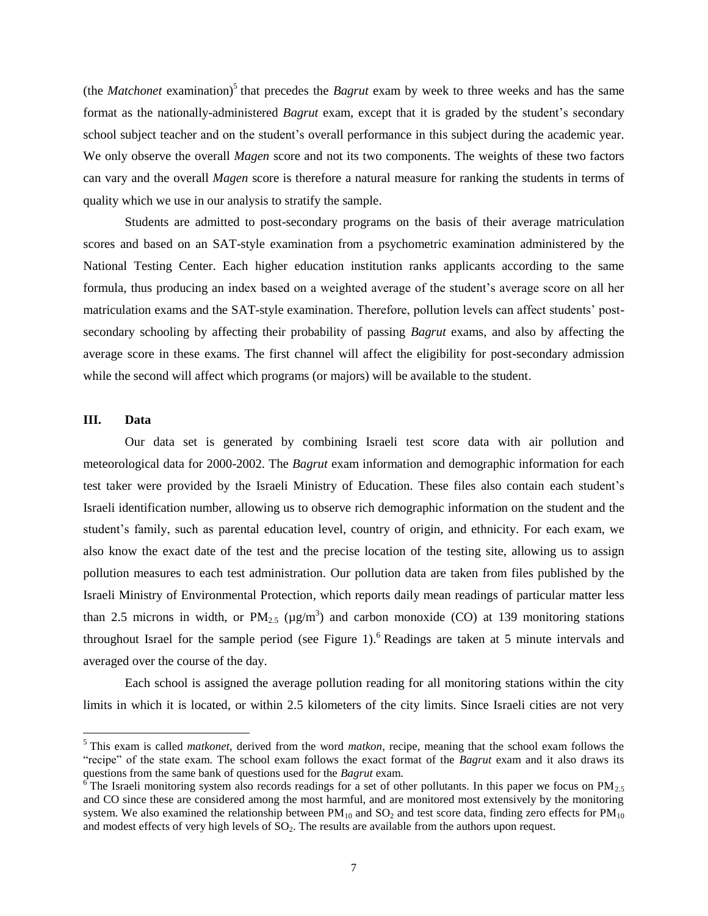(the *Matchonet* examination)<sup>5</sup> that precedes the *Bagrut* exam by week to three weeks and has the same format as the nationally-administered *Bagrut* exam, except that it is graded by the student's secondary school subject teacher and on the student's overall performance in this subject during the academic year. We only observe the overall *Magen* score and not its two components. The weights of these two factors can vary and the overall *Magen* score is therefore a natural measure for ranking the students in terms of quality which we use in our analysis to stratify the sample.

Students are admitted to post-secondary programs on the basis of their average matriculation scores and based on an SAT-style examination from a psychometric examination administered by the National Testing Center. Each higher education institution ranks applicants according to the same formula, thus producing an index based on a weighted average of the student's average score on all her matriculation exams and the SAT-style examination. Therefore, pollution levels can affect students' postsecondary schooling by affecting their probability of passing *Bagrut* exams, and also by affecting the average score in these exams. The first channel will affect the eligibility for post-secondary admission while the second will affect which programs (or majors) will be available to the student.

# **III. Data**

 $\overline{a}$ 

Our data set is generated by combining Israeli test score data with air pollution and meteorological data for 2000-2002. The *Bagrut* exam information and demographic information for each test taker were provided by the Israeli Ministry of Education. These files also contain each student's Israeli identification number, allowing us to observe rich demographic information on the student and the student's family, such as parental education level, country of origin, and ethnicity. For each exam, we also know the exact date of the test and the precise location of the testing site, allowing us to assign pollution measures to each test administration. Our pollution data are taken from files published by the Israeli Ministry of Environmental Protection, which reports daily mean readings of particular matter less than 2.5 microns in width, or  $PM_{2.5}$  ( $\mu$ g/m<sup>3</sup>) and carbon monoxide (CO) at 139 monitoring stations throughout Israel for the sample period (see Figure 1). <sup>6</sup> Readings are taken at 5 minute intervals and averaged over the course of the day.

Each school is assigned the average pollution reading for all monitoring stations within the city limits in which it is located, or within 2.5 kilometers of the city limits. Since Israeli cities are not very

<sup>5</sup> This exam is called *matkonet*, derived from the word *matkon*, recipe, meaning that the school exam follows the "recipe" of the state exam. The school exam follows the exact format of the *Bagrut* exam and it also draws its questions from the same bank of questions used for the *Bagrut* exam.

 $\overline{6}$  The Israeli monitoring system also records readings for a set of other pollutants. In this paper we focus on PM<sub>2.5</sub> and CO since these are considered among the most harmful, and are monitored most extensively by the monitoring system. We also examined the relationship between  $PM_{10}$  and  $SO_2$  and test score data, finding zero effects for  $PM_{10}$ and modest effects of very high levels of SO<sub>2</sub>. The results are available from the authors upon request.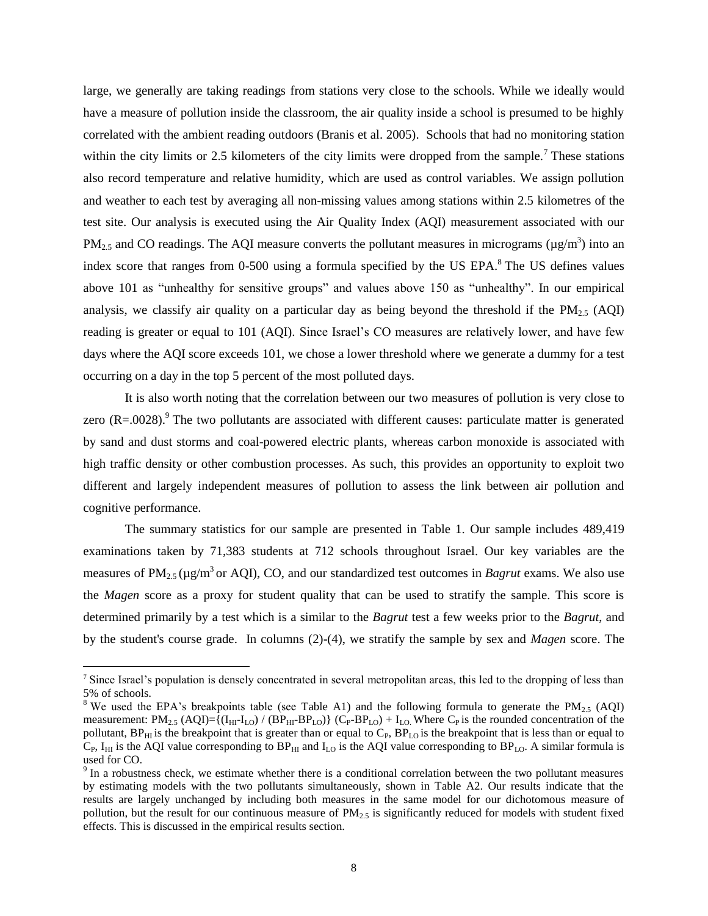large, we generally are taking readings from stations very close to the schools. While we ideally would have a measure of pollution inside the classroom, the air quality inside a school is presumed to be highly correlated with the ambient reading outdoors (Branis et al. 2005). Schools that had no monitoring station within the city limits or 2.5 kilometers of the city limits were dropped from the sample.<sup>7</sup> These stations also record temperature and relative humidity, which are used as control variables. We assign pollution and weather to each test by averaging all non-missing values among stations within 2.5 kilometres of the test site. Our analysis is executed using the Air Quality Index (AQI) measurement associated with our PM<sub>2.5</sub> and CO readings. The AQI measure converts the pollutant measures in micrograms ( $\mu$ g/m<sup>3</sup>) into an index score that ranges from 0-500 using a formula specified by the US EPA.<sup>8</sup> The US defines values above 101 as "unhealthy for sensitive groups" and values above 150 as "unhealthy". In our empirical analysis, we classify air quality on a particular day as being beyond the threshold if the  $PM_{2.5}$  (AQI) reading is greater or equal to 101 (AQI). Since Israel's CO measures are relatively lower, and have few days where the AQI score exceeds 101, we chose a lower threshold where we generate a dummy for a test occurring on a day in the top 5 percent of the most polluted days.

It is also worth noting that the correlation between our two measures of pollution is very close to zero  $(R=.0028)$ .<sup>9</sup> The two pollutants are associated with different causes: particulate matter is generated by sand and dust storms and coal-powered electric plants, whereas carbon monoxide is associated with high traffic density or other combustion processes. As such, this provides an opportunity to exploit two different and largely independent measures of pollution to assess the link between air pollution and cognitive performance.

The summary statistics for our sample are presented in Table 1. Our sample includes 489,419 examinations taken by 71,383 students at 712 schools throughout Israel. Our key variables are the measures of  $PM_{2.5}$  ( $\mu$ g/m<sup>3</sup> or AQI), CO, and our standardized test outcomes in *Bagrut* exams. We also use the *Magen* score as a proxy for student quality that can be used to stratify the sample. This score is determined primarily by a test which is a similar to the *Bagrut* test a few weeks prior to the *Bagrut*, and by the student's course grade. In columns (2)-(4), we stratify the sample by sex and *Magen* score. The

 $\overline{a}$ 

<sup>7</sup> Since Israel's population is densely concentrated in several metropolitan areas, this led to the dropping of less than 5% of schools.

<sup>&</sup>lt;sup>8</sup> We used the EPA's breakpoints table (see Table A1) and the following formula to generate the PM<sub>2.5</sub> (AQI) measurement:  $PM_{2.5}$  (AQI)={ $(I_{HI}I_{LO})$  / (BP<sub>HI</sub>-BP<sub>LO</sub>)} (C<sub>P</sub>-BP<sub>LO</sub>) +  $I_{LO}$ . Where C<sub>P</sub> is the rounded concentration of the pollutant,  $BP_{HI}$  is the breakpoint that is greater than or equal to  $C_P$ ,  $BP_{LO}$  is the breakpoint that is less than or equal to  $C_P$ , I<sub>HI</sub> is the AQI value corresponding to BP<sub>HI</sub> and I<sub>LO</sub> is the AQI value corresponding to BP<sub>LO</sub>. A similar formula is used for CO.

 $9<sup>9</sup>$  In a robustness check, we estimate whether there is a conditional correlation between the two pollutant measures by estimating models with the two pollutants simultaneously, shown in Table A2. Our results indicate that the results are largely unchanged by including both measures in the same model for our dichotomous measure of pollution, but the result for our continuous measure of  $PM_{2.5}$  is significantly reduced for models with student fixed effects. This is discussed in the empirical results section.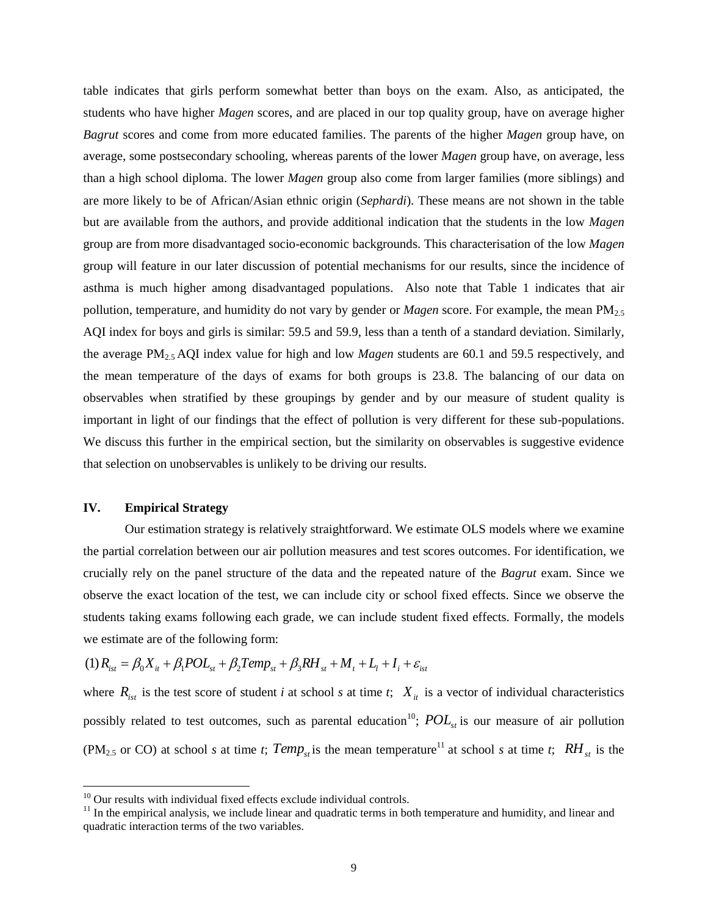table indicates that girls perform somewhat better than boys on the exam. Also, as anticipated, the students who have higher *Magen* scores, and are placed in our top quality group, have on average higher *Bagrut* scores and come from more educated families. The parents of the higher *Magen* group have, on average, some postsecondary schooling, whereas parents of the lower *Magen* group have, on average, less than a high school diploma. The lower *Magen* group also come from larger families (more siblings) and are more likely to be of African/Asian ethnic origin (*Sephardi*). These means are not shown in the table but are available from the authors, and provide additional indication that the students in the low *Magen* group are from more disadvantaged socio-economic backgrounds. This characterisation of the low *Magen* group will feature in our later discussion of potential mechanisms for our results, since the incidence of asthma is much higher among disadvantaged populations. Also note that Table 1 indicates that air pollution, temperature, and humidity do not vary by gender or *Magen* score. For example, the mean PM2.5 AQI index for boys and girls is similar: 59.5 and 59.9, less than a tenth of a standard deviation. Similarly, the average PM2.5 AQI index value for high and low *Magen* students are 60.1 and 59.5 respectively, and the mean temperature of the days of exams for both groups is 23.8. The balancing of our data on observables when stratified by these groupings by gender and by our measure of student quality is important in light of our findings that the effect of pollution is very different for these sub-populations. We discuss this further in the empirical section, but the similarity on observables is suggestive evidence that selection on unobservables is unlikely to be driving our results.

#### **IV. Empirical Strategy**

 $\overline{a}$ 

Our estimation strategy is relatively straightforward. We estimate OLS models where we examine the partial correlation between our air pollution measures and test scores outcomes. For identification, we crucially rely on the panel structure of the data and the repeated nature of the *Bagrut* exam. Since we observe the exact location of the test, we can include city or school fixed effects. Since we observe the students taking exams following each grade, we can include student fixed effects. Formally, the models we estimate are of the following form:

$$
(1) R_{ist} = \beta_0 X_{it} + \beta_1 POL_{st} + \beta_2 Temp_{st} + \beta_3 RH_{st} + M_t + L_t + I_i + \varepsilon_{ist}
$$

where  $R_{ist}$  is the test score of student *i* at school *s* at time *t*;  $X_{it}$  is a vector of individual characteristics possibly related to test outcomes, such as parental education<sup>10</sup>;  $POL_{st}$  is our measure of air pollution (PM<sub>2.5</sub> or CO) at school *s* at time *t*;  $Temp_{st}$  is the mean temperature<sup>11</sup> at school *s* at time *t*;  $RH_{st}$  is the

 $10$  Our results with individual fixed effects exclude individual controls.

 $11$  In the empirical analysis, we include linear and quadratic terms in both temperature and humidity, and linear and quadratic interaction terms of the two variables.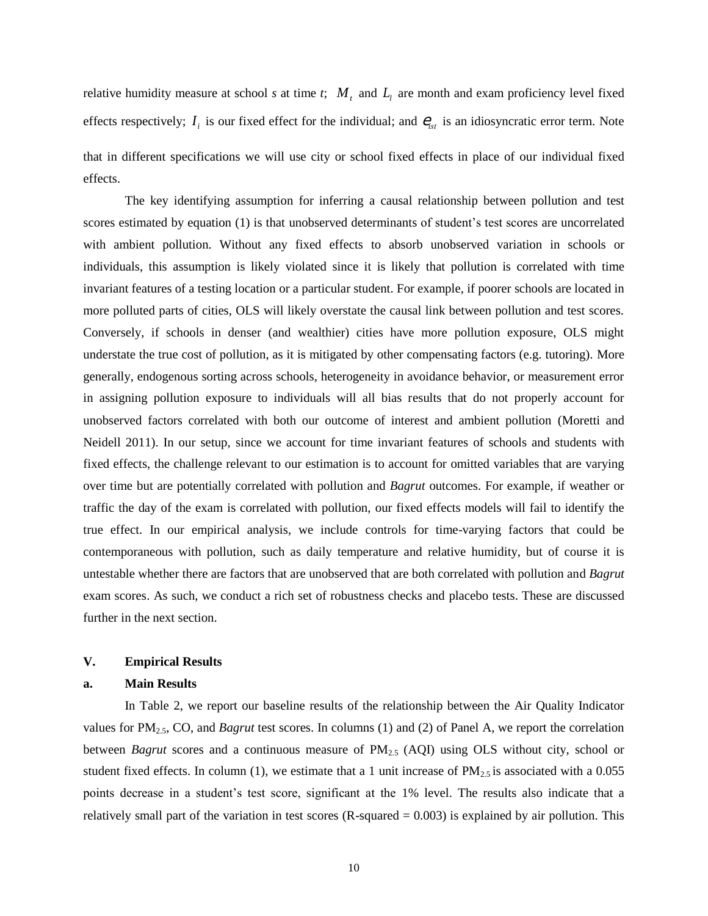relative humidity measure at school *s* at time *t*;  $M_t$  and  $L_l$  are month and exam proficiency level fixed effects respectively;  $I_i$  is our fixed effect for the individual; and  $e_{ist}$  is an idiosyncratic error term. Note that in different specifications we will use city or school fixed effects in place of our individual fixed effects.

The key identifying assumption for inferring a causal relationship between pollution and test scores estimated by equation (1) is that unobserved determinants of student's test scores are uncorrelated with ambient pollution. Without any fixed effects to absorb unobserved variation in schools or individuals, this assumption is likely violated since it is likely that pollution is correlated with time invariant features of a testing location or a particular student. For example, if poorer schools are located in more polluted parts of cities, OLS will likely overstate the causal link between pollution and test scores. Conversely, if schools in denser (and wealthier) cities have more pollution exposure, OLS might understate the true cost of pollution, as it is mitigated by other compensating factors (e.g. tutoring). More generally, endogenous sorting across schools, heterogeneity in avoidance behavior, or measurement error in assigning pollution exposure to individuals will all bias results that do not properly account for unobserved factors correlated with both our outcome of interest and ambient pollution (Moretti and Neidell 2011). In our setup, since we account for time invariant features of schools and students with fixed effects, the challenge relevant to our estimation is to account for omitted variables that are varying over time but are potentially correlated with pollution and *Bagrut* outcomes. For example, if weather or traffic the day of the exam is correlated with pollution, our fixed effects models will fail to identify the true effect. In our empirical analysis, we include controls for time-varying factors that could be contemporaneous with pollution, such as daily temperature and relative humidity, but of course it is untestable whether there are factors that are unobserved that are both correlated with pollution and *Bagrut* exam scores. As such, we conduct a rich set of robustness checks and placebo tests. These are discussed further in the next section.

### **V. Empirical Results**

#### **a. Main Results**

In Table 2, we report our baseline results of the relationship between the Air Quality Indicator values for PM2.5, CO, and *Bagrut* test scores. In columns (1) and (2) of Panel A, we report the correlation between *Bagrut* scores and a continuous measure of PM<sub>2.5</sub> (AQI) using OLS without city, school or student fixed effects. In column (1), we estimate that a 1 unit increase of  $PM_{2.5}$  is associated with a 0.055 points decrease in a student's test score, significant at the 1% level. The results also indicate that a relatively small part of the variation in test scores  $(R$ -squared  $= 0.003$ ) is explained by air pollution. This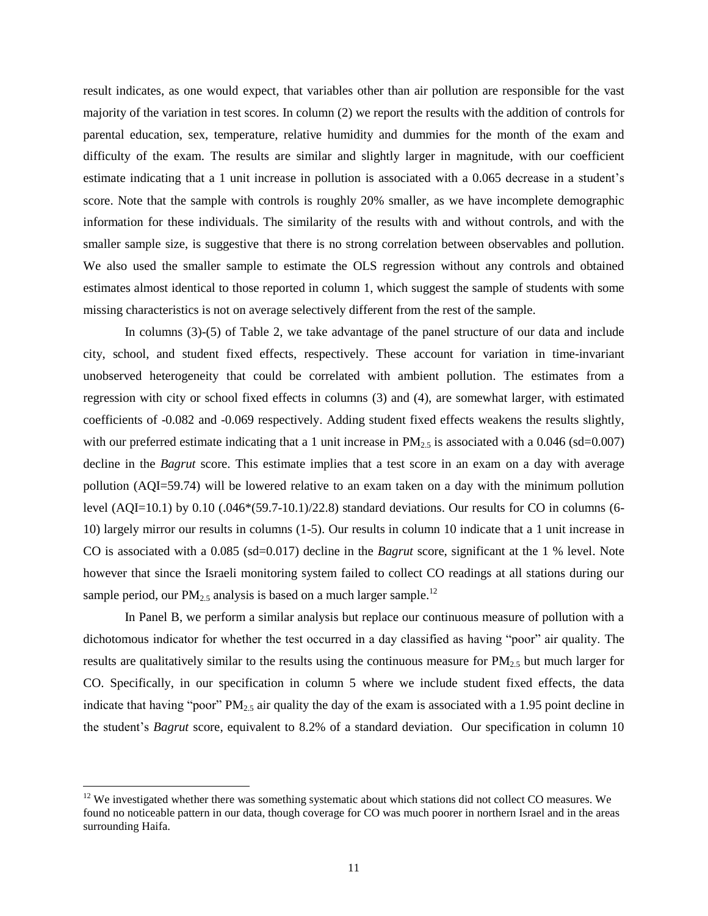result indicates, as one would expect, that variables other than air pollution are responsible for the vast majority of the variation in test scores. In column (2) we report the results with the addition of controls for parental education, sex, temperature, relative humidity and dummies for the month of the exam and difficulty of the exam. The results are similar and slightly larger in magnitude, with our coefficient estimate indicating that a 1 unit increase in pollution is associated with a 0.065 decrease in a student's score. Note that the sample with controls is roughly 20% smaller, as we have incomplete demographic information for these individuals. The similarity of the results with and without controls, and with the smaller sample size, is suggestive that there is no strong correlation between observables and pollution. We also used the smaller sample to estimate the OLS regression without any controls and obtained estimates almost identical to those reported in column 1, which suggest the sample of students with some missing characteristics is not on average selectively different from the rest of the sample.

In columns (3)-(5) of Table 2, we take advantage of the panel structure of our data and include city, school, and student fixed effects, respectively. These account for variation in time-invariant unobserved heterogeneity that could be correlated with ambient pollution. The estimates from a regression with city or school fixed effects in columns (3) and (4), are somewhat larger, with estimated coefficients of -0.082 and -0.069 respectively. Adding student fixed effects weakens the results slightly, with our preferred estimate indicating that a 1 unit increase in  $PM_{2.5}$  is associated with a 0.046 (sd=0.007) decline in the *Bagrut* score. This estimate implies that a test score in an exam on a day with average pollution (AQI=59.74) will be lowered relative to an exam taken on a day with the minimum pollution level (AQI=10.1) by 0.10 (.046\*(59.7-10.1)/22.8) standard deviations. Our results for CO in columns (6- 10) largely mirror our results in columns (1-5). Our results in column 10 indicate that a 1 unit increase in CO is associated with a 0.085 (sd=0.017) decline in the *Bagrut* score, significant at the 1 % level. Note however that since the Israeli monitoring system failed to collect CO readings at all stations during our sample period, our  $PM_{2.5}$  analysis is based on a much larger sample.<sup>12</sup>

In Panel B, we perform a similar analysis but replace our continuous measure of pollution with a dichotomous indicator for whether the test occurred in a day classified as having "poor" air quality. The results are qualitatively similar to the results using the continuous measure for  $PM_{2.5}$  but much larger for CO. Specifically, in our specification in column 5 where we include student fixed effects, the data indicate that having "poor"  $PM_{2.5}$  air quality the day of the exam is associated with a 1.95 point decline in the student's *Bagrut* score, equivalent to 8.2% of a standard deviation. Our specification in column 10

 $\overline{a}$ 

<sup>&</sup>lt;sup>12</sup> We investigated whether there was something systematic about which stations did not collect CO measures. We found no noticeable pattern in our data, though coverage for CO was much poorer in northern Israel and in the areas surrounding Haifa.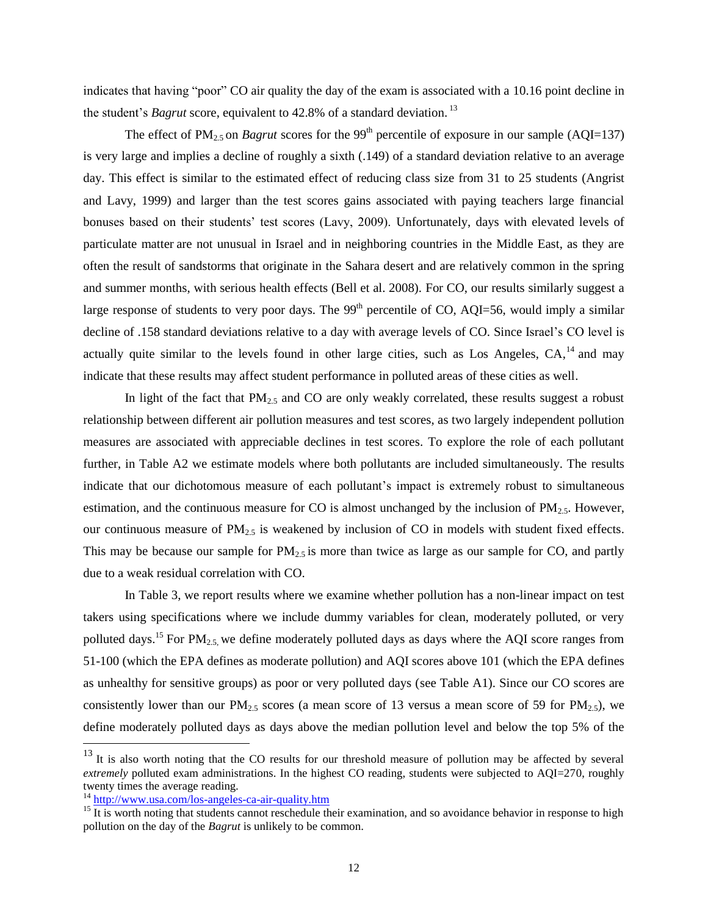indicates that having "poor" CO air quality the day of the exam is associated with a 10.16 point decline in the student's *Bagrut* score, equivalent to 42.8% of a standard deviation. 13

The effect of PM<sub>2.5</sub> on *Bagrut* scores for the 99<sup>th</sup> percentile of exposure in our sample (AQI=137) is very large and implies a decline of roughly a sixth (.149) of a standard deviation relative to an average day. This effect is similar to the estimated effect of reducing class size from 31 to 25 students (Angrist and Lavy, 1999) and larger than the test scores gains associated with paying teachers large financial bonuses based on their students' test scores (Lavy, 2009). Unfortunately, days with elevated levels of particulate matter are not unusual in Israel and in neighboring countries in the Middle East, as they are often the result of sandstorms that originate in the Sahara desert and are relatively common in the spring and summer months, with serious health effects (Bell et al. 2008). For CO, our results similarly suggest a large response of students to very poor days. The  $99<sup>th</sup>$  percentile of CO, AQI=56, would imply a similar decline of .158 standard deviations relative to a day with average levels of CO. Since Israel's CO level is actually quite similar to the levels found in other large cities, such as Los Angeles,  $CA$ ,  $^{14}$  and may indicate that these results may affect student performance in polluted areas of these cities as well.

In light of the fact that  $PM_{2.5}$  and CO are only weakly correlated, these results suggest a robust relationship between different air pollution measures and test scores, as two largely independent pollution measures are associated with appreciable declines in test scores. To explore the role of each pollutant further, in Table A2 we estimate models where both pollutants are included simultaneously. The results indicate that our dichotomous measure of each pollutant's impact is extremely robust to simultaneous estimation, and the continuous measure for CO is almost unchanged by the inclusion of  $PM_{2.5}$ . However, our continuous measure of  $PM_{2.5}$  is weakened by inclusion of CO in models with student fixed effects. This may be because our sample for  $PM_{2.5}$  is more than twice as large as our sample for CO, and partly due to a weak residual correlation with CO.

In Table 3, we report results where we examine whether pollution has a non-linear impact on test takers using specifications where we include dummy variables for clean, moderately polluted, or very polluted days.<sup>15</sup> For PM<sub>2.5</sub>, we define moderately polluted days as days where the AQI score ranges from 51-100 (which the EPA defines as moderate pollution) and AQI scores above 101 (which the EPA defines as unhealthy for sensitive groups) as poor or very polluted days (see Table A1). Since our CO scores are consistently lower than our  $PM_{2.5}$  scores (a mean score of 13 versus a mean score of 59 for  $PM_{2.5}$ ), we define moderately polluted days as days above the median pollution level and below the top 5% of the

 $\overline{a}$ 

 $13$  It is also worth noting that the CO results for our threshold measure of pollution may be affected by several *extremely* polluted exam administrations. In the highest CO reading, students were subjected to AQI=270, roughly twenty times the average reading.

<sup>&</sup>lt;sup>14</sup> <http://www.usa.com/los-angeles-ca-air-quality.htm>

 $\frac{15}{15}$  It is worth noting that students cannot reschedule their examination, and so avoidance behavior in response to high pollution on the day of the *Bagrut* is unlikely to be common.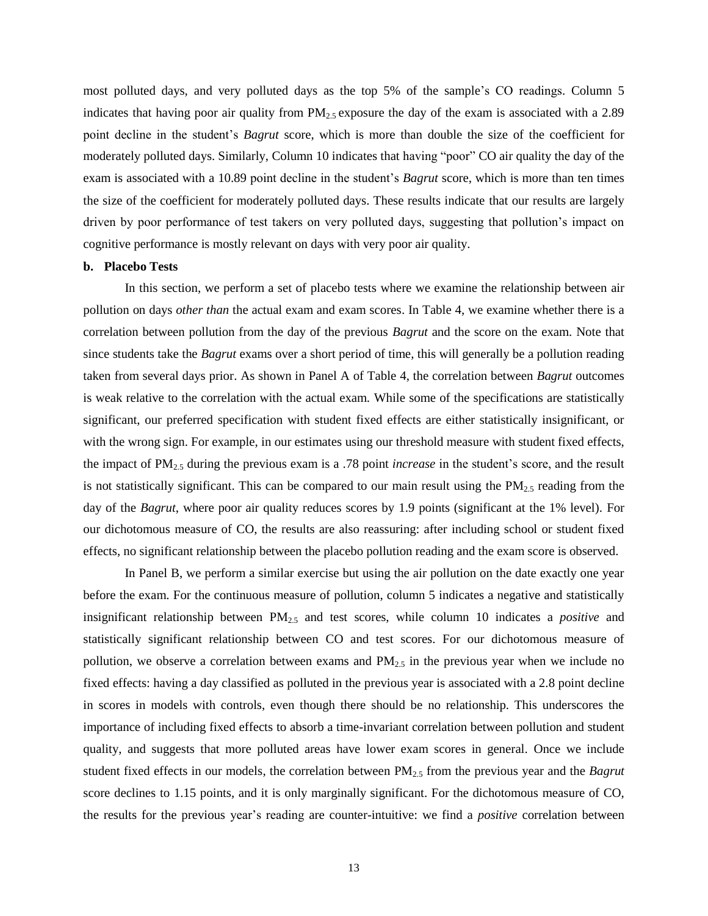most polluted days, and very polluted days as the top 5% of the sample's CO readings. Column 5 indicates that having poor air quality from  $PM_{2.5}$  exposure the day of the exam is associated with a 2.89 point decline in the student's *Bagrut* score, which is more than double the size of the coefficient for moderately polluted days. Similarly, Column 10 indicates that having "poor" CO air quality the day of the exam is associated with a 10.89 point decline in the student's *Bagrut* score, which is more than ten times the size of the coefficient for moderately polluted days. These results indicate that our results are largely driven by poor performance of test takers on very polluted days, suggesting that pollution's impact on cognitive performance is mostly relevant on days with very poor air quality.

# **b. Placebo Tests**

In this section, we perform a set of placebo tests where we examine the relationship between air pollution on days *other than* the actual exam and exam scores. In Table 4, we examine whether there is a correlation between pollution from the day of the previous *Bagrut* and the score on the exam. Note that since students take the *Bagrut* exams over a short period of time, this will generally be a pollution reading taken from several days prior. As shown in Panel A of Table 4, the correlation between *Bagrut* outcomes is weak relative to the correlation with the actual exam. While some of the specifications are statistically significant, our preferred specification with student fixed effects are either statistically insignificant, or with the wrong sign. For example, in our estimates using our threshold measure with student fixed effects, the impact of PM2.5 during the previous exam is a .78 point *increase* in the student's score, and the result is not statistically significant. This can be compared to our main result using the  $PM_{2.5}$  reading from the day of the *Bagrut*, where poor air quality reduces scores by 1.9 points (significant at the 1% level). For our dichotomous measure of CO, the results are also reassuring: after including school or student fixed effects, no significant relationship between the placebo pollution reading and the exam score is observed.

In Panel B, we perform a similar exercise but using the air pollution on the date exactly one year before the exam. For the continuous measure of pollution, column 5 indicates a negative and statistically insignificant relationship between PM2.5 and test scores, while column 10 indicates a *positive* and statistically significant relationship between CO and test scores. For our dichotomous measure of pollution, we observe a correlation between exams and  $PM_{2.5}$  in the previous year when we include no fixed effects: having a day classified as polluted in the previous year is associated with a 2.8 point decline in scores in models with controls, even though there should be no relationship. This underscores the importance of including fixed effects to absorb a time-invariant correlation between pollution and student quality, and suggests that more polluted areas have lower exam scores in general. Once we include student fixed effects in our models, the correlation between PM2.5 from the previous year and the *Bagrut* score declines to 1.15 points, and it is only marginally significant. For the dichotomous measure of CO, the results for the previous year's reading are counter-intuitive: we find a *positive* correlation between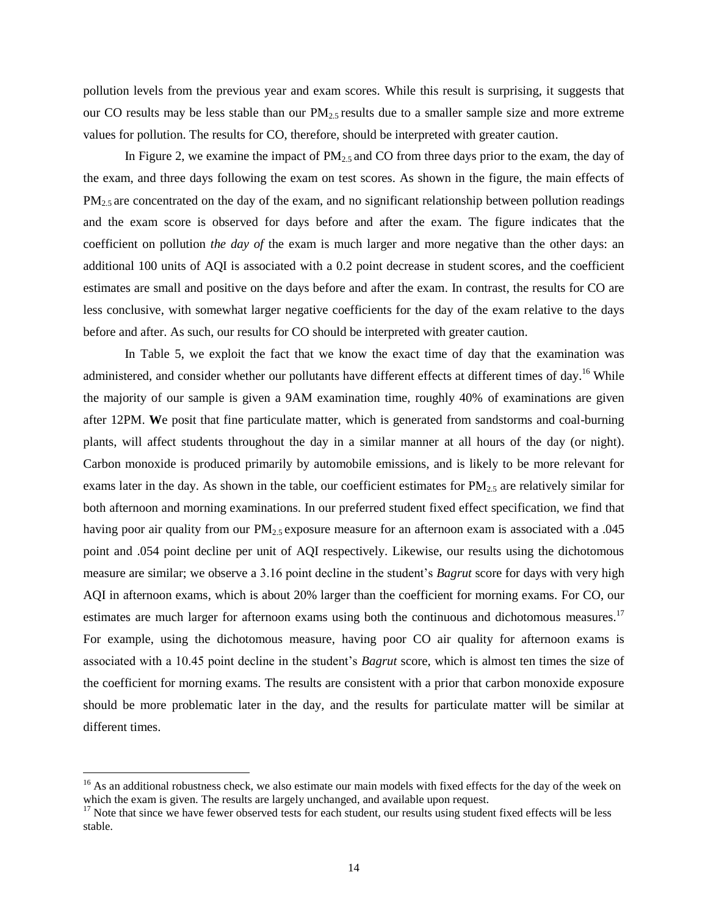pollution levels from the previous year and exam scores. While this result is surprising, it suggests that our CO results may be less stable than our  $PM_{2.5}$  results due to a smaller sample size and more extreme values for pollution. The results for CO, therefore, should be interpreted with greater caution.

In Figure 2, we examine the impact of  $PM_{2.5}$  and CO from three days prior to the exam, the day of the exam, and three days following the exam on test scores. As shown in the figure, the main effects of  $PM<sub>2.5</sub>$  are concentrated on the day of the exam, and no significant relationship between pollution readings and the exam score is observed for days before and after the exam. The figure indicates that the coefficient on pollution *the day of* the exam is much larger and more negative than the other days: an additional 100 units of AQI is associated with a 0.2 point decrease in student scores, and the coefficient estimates are small and positive on the days before and after the exam. In contrast, the results for CO are less conclusive, with somewhat larger negative coefficients for the day of the exam relative to the days before and after. As such, our results for CO should be interpreted with greater caution.

In Table 5, we exploit the fact that we know the exact time of day that the examination was administered, and consider whether our pollutants have different effects at different times of day.<sup>16</sup> While the majority of our sample is given a 9AM examination time, roughly 40% of examinations are given after 12PM. **W**e posit that fine particulate matter, which is generated from sandstorms and coal-burning plants, will affect students throughout the day in a similar manner at all hours of the day (or night). Carbon monoxide is produced primarily by automobile emissions, and is likely to be more relevant for exams later in the day. As shown in the table, our coefficient estimates for  $PM_{2.5}$  are relatively similar for both afternoon and morning examinations. In our preferred student fixed effect specification, we find that having poor air quality from our  $PM_{2.5}$  exposure measure for an afternoon exam is associated with a .045 point and .054 point decline per unit of AQI respectively. Likewise, our results using the dichotomous measure are similar; we observe a 3.16 point decline in the student's *Bagrut* score for days with very high AQI in afternoon exams, which is about 20% larger than the coefficient for morning exams. For CO, our estimates are much larger for afternoon exams using both the continuous and dichotomous measures.<sup>17</sup> For example, using the dichotomous measure, having poor CO air quality for afternoon exams is associated with a 10.45 point decline in the student's *Bagrut* score, which is almost ten times the size of the coefficient for morning exams. The results are consistent with a prior that carbon monoxide exposure should be more problematic later in the day, and the results for particulate matter will be similar at different times.

 $\overline{a}$ 

<sup>&</sup>lt;sup>16</sup> As an additional robustness check, we also estimate our main models with fixed effects for the day of the week on which the exam is given. The results are largely unchanged, and available upon request.

<sup>&</sup>lt;sup>17</sup> Note that since we have fewer observed tests for each student, our results using student fixed effects will be less stable.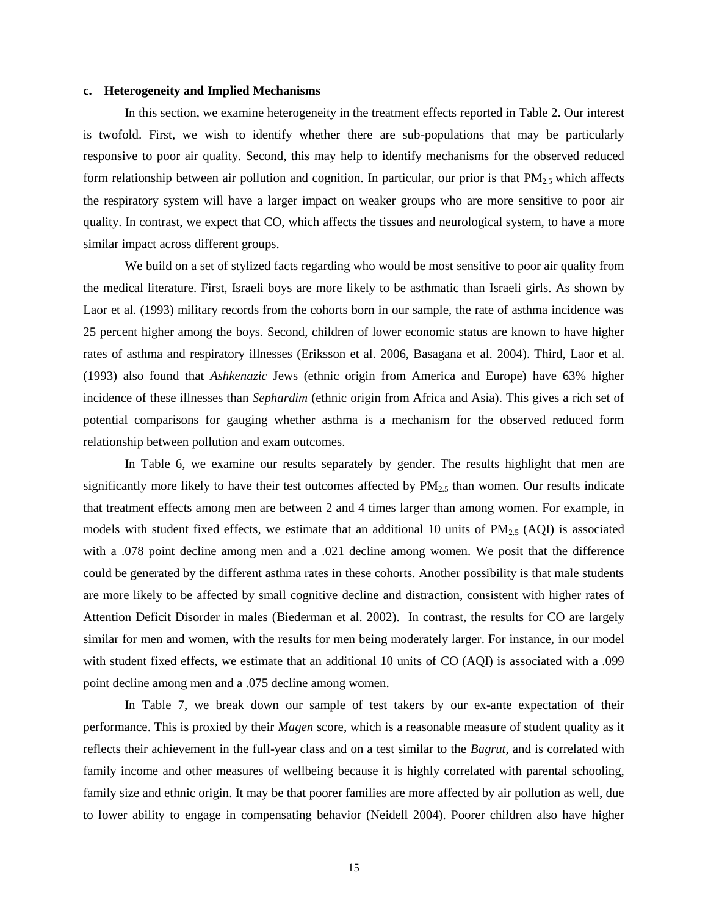#### **c. Heterogeneity and Implied Mechanisms**

In this section, we examine heterogeneity in the treatment effects reported in Table 2. Our interest is twofold. First, we wish to identify whether there are sub-populations that may be particularly responsive to poor air quality. Second, this may help to identify mechanisms for the observed reduced form relationship between air pollution and cognition. In particular, our prior is that  $PM_{2.5}$  which affects the respiratory system will have a larger impact on weaker groups who are more sensitive to poor air quality. In contrast, we expect that CO, which affects the tissues and neurological system, to have a more similar impact across different groups.

We build on a set of stylized facts regarding who would be most sensitive to poor air quality from the medical literature. First, Israeli boys are more likely to be asthmatic than Israeli girls. As shown by Laor et al. (1993) military records from the cohorts born in our sample, the rate of asthma incidence was 25 percent higher among the boys. Second, children of lower economic status are known to have higher rates of asthma and respiratory illnesses (Eriksson et al. 2006, Basagana et al. 2004). Third, Laor et al. (1993) also found that *Ashkenazic* Jews (ethnic origin from America and Europe) have 63% higher incidence of these illnesses than *Sephardim* (ethnic origin from Africa and Asia). This gives a rich set of potential comparisons for gauging whether asthma is a mechanism for the observed reduced form relationship between pollution and exam outcomes.

In Table 6, we examine our results separately by gender. The results highlight that men are significantly more likely to have their test outcomes affected by  $PM_{2.5}$  than women. Our results indicate that treatment effects among men are between 2 and 4 times larger than among women. For example, in models with student fixed effects, we estimate that an additional 10 units of  $PM_{2.5}$  (AQI) is associated with a .078 point decline among men and a .021 decline among women. We posit that the difference could be generated by the different asthma rates in these cohorts. Another possibility is that male students are more likely to be affected by small cognitive decline and distraction, consistent with higher rates of Attention Deficit Disorder in males (Biederman et al. 2002). In contrast, the results for CO are largely similar for men and women, with the results for men being moderately larger. For instance, in our model with student fixed effects, we estimate that an additional 10 units of CO (AQI) is associated with a .099 point decline among men and a .075 decline among women.

In Table 7, we break down our sample of test takers by our ex-ante expectation of their performance. This is proxied by their *Magen* score, which is a reasonable measure of student quality as it reflects their achievement in the full-year class and on a test similar to the *Bagrut*, and is correlated with family income and other measures of wellbeing because it is highly correlated with parental schooling, family size and ethnic origin. It may be that poorer families are more affected by air pollution as well, due to lower ability to engage in compensating behavior (Neidell 2004). Poorer children also have higher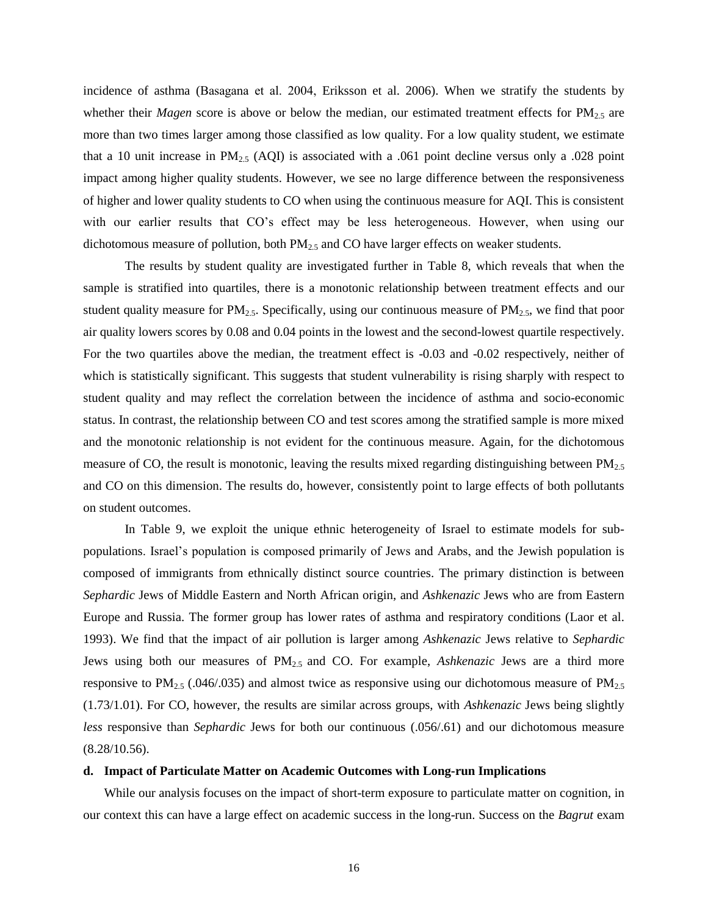incidence of asthma (Basagana et al. 2004, Eriksson et al. 2006). When we stratify the students by whether their *Magen* score is above or below the median, our estimated treatment effects for PM<sub>2.5</sub> are more than two times larger among those classified as low quality. For a low quality student, we estimate that a 10 unit increase in  $PM_{2.5}$  (AQI) is associated with a .061 point decline versus only a .028 point impact among higher quality students. However, we see no large difference between the responsiveness of higher and lower quality students to CO when using the continuous measure for AQI. This is consistent with our earlier results that CO's effect may be less heterogeneous. However, when using our dichotomous measure of pollution, both  $PM_{2.5}$  and CO have larger effects on weaker students.

The results by student quality are investigated further in Table 8, which reveals that when the sample is stratified into quartiles, there is a monotonic relationship between treatment effects and our student quality measure for  $PM_{2.5}$ . Specifically, using our continuous measure of  $PM_{2.5}$ , we find that poor air quality lowers scores by 0.08 and 0.04 points in the lowest and the second-lowest quartile respectively. For the two quartiles above the median, the treatment effect is -0.03 and -0.02 respectively, neither of which is statistically significant. This suggests that student vulnerability is rising sharply with respect to student quality and may reflect the correlation between the incidence of asthma and socio-economic status. In contrast, the relationship between CO and test scores among the stratified sample is more mixed and the monotonic relationship is not evident for the continuous measure. Again, for the dichotomous measure of CO, the result is monotonic, leaving the results mixed regarding distinguishing between  $PM_{2.5}$ and CO on this dimension. The results do, however, consistently point to large effects of both pollutants on student outcomes.

In Table 9, we exploit the unique ethnic heterogeneity of Israel to estimate models for subpopulations. Israel's population is composed primarily of Jews and Arabs, and the Jewish population is composed of immigrants from ethnically distinct source countries. The primary distinction is between *Sephardic* Jews of Middle Eastern and North African origin, and *Ashkenazic* Jews who are from Eastern Europe and Russia. The former group has lower rates of asthma and respiratory conditions (Laor et al. 1993). We find that the impact of air pollution is larger among *Ashkenazic* Jews relative to *Sephardic* Jews using both our measures of PM2.5 and CO. For example, *Ashkenazic* Jews are a third more responsive to  $PM_{2.5}$  (.046/.035) and almost twice as responsive using our dichotomous measure of  $PM_{2.5}$ (1.73/1.01). For CO, however, the results are similar across groups, with *Ashkenazic* Jews being slightly *less* responsive than *Sephardic* Jews for both our continuous (.056/.61) and our dichotomous measure (8.28/10.56).

#### **d. Impact of Particulate Matter on Academic Outcomes with Long-run Implications**

While our analysis focuses on the impact of short-term exposure to particulate matter on cognition, in our context this can have a large effect on academic success in the long-run. Success on the *Bagrut* exam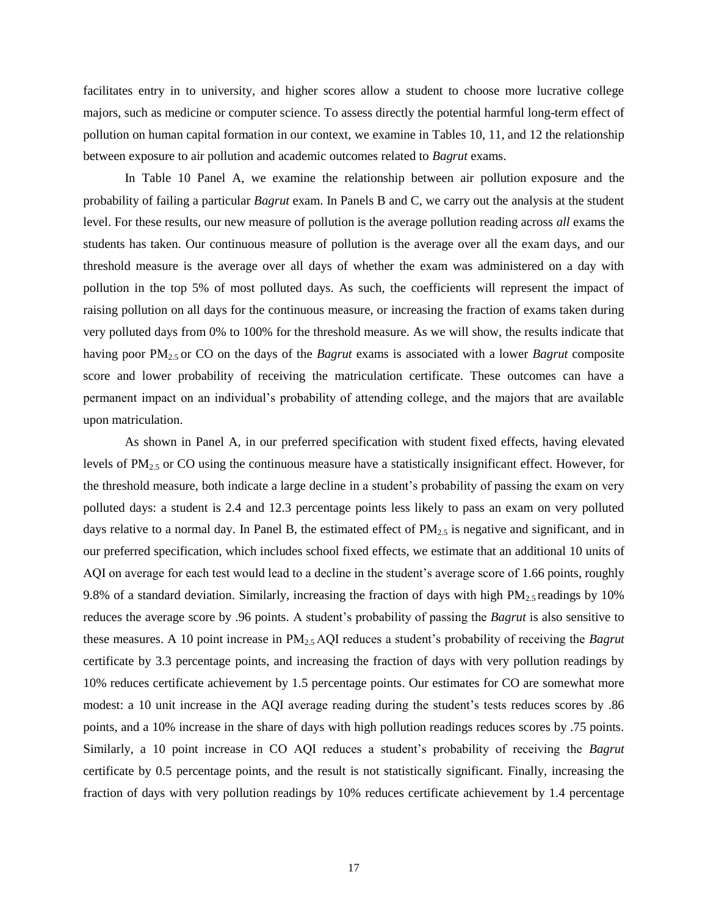facilitates entry in to university, and higher scores allow a student to choose more lucrative college majors, such as medicine or computer science. To assess directly the potential harmful long-term effect of pollution on human capital formation in our context, we examine in Tables 10, 11, and 12 the relationship between exposure to air pollution and academic outcomes related to *Bagrut* exams.

In Table 10 Panel A, we examine the relationship between air pollution exposure and the probability of failing a particular *Bagrut* exam. In Panels B and C, we carry out the analysis at the student level. For these results, our new measure of pollution is the average pollution reading across *all* exams the students has taken. Our continuous measure of pollution is the average over all the exam days, and our threshold measure is the average over all days of whether the exam was administered on a day with pollution in the top 5% of most polluted days. As such, the coefficients will represent the impact of raising pollution on all days for the continuous measure, or increasing the fraction of exams taken during very polluted days from 0% to 100% for the threshold measure. As we will show, the results indicate that having poor PM2.5 or CO on the days of the *Bagrut* exams is associated with a lower *Bagrut* composite score and lower probability of receiving the matriculation certificate. These outcomes can have a permanent impact on an individual's probability of attending college, and the majors that are available upon matriculation.

As shown in Panel A, in our preferred specification with student fixed effects, having elevated levels of PM2.5 or CO using the continuous measure have a statistically insignificant effect. However, for the threshold measure, both indicate a large decline in a student's probability of passing the exam on very polluted days: a student is 2.4 and 12.3 percentage points less likely to pass an exam on very polluted days relative to a normal day. In Panel B, the estimated effect of  $PM_{2.5}$  is negative and significant, and in our preferred specification, which includes school fixed effects, we estimate that an additional 10 units of AQI on average for each test would lead to a decline in the student's average score of 1.66 points, roughly 9.8% of a standard deviation. Similarly, increasing the fraction of days with high  $PM_{2.5}$  readings by 10% reduces the average score by .96 points. A student's probability of passing the *Bagrut* is also sensitive to these measures. A 10 point increase in PM2.5 AQI reduces a student's probability of receiving the *Bagrut* certificate by 3.3 percentage points, and increasing the fraction of days with very pollution readings by 10% reduces certificate achievement by 1.5 percentage points. Our estimates for CO are somewhat more modest: a 10 unit increase in the AQI average reading during the student's tests reduces scores by .86 points, and a 10% increase in the share of days with high pollution readings reduces scores by .75 points. Similarly, a 10 point increase in CO AQI reduces a student's probability of receiving the *Bagrut* certificate by 0.5 percentage points, and the result is not statistically significant. Finally, increasing the fraction of days with very pollution readings by 10% reduces certificate achievement by 1.4 percentage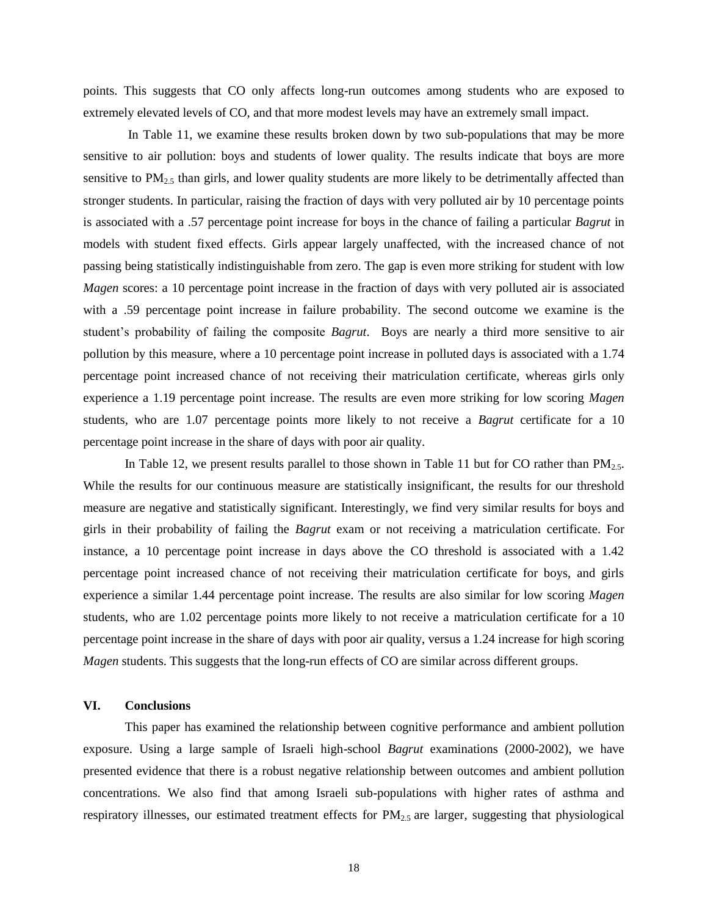points. This suggests that CO only affects long-run outcomes among students who are exposed to extremely elevated levels of CO, and that more modest levels may have an extremely small impact.

In Table 11, we examine these results broken down by two sub-populations that may be more sensitive to air pollution: boys and students of lower quality. The results indicate that boys are more sensitive to  $PM_{2.5}$  than girls, and lower quality students are more likely to be detrimentally affected than stronger students. In particular, raising the fraction of days with very polluted air by 10 percentage points is associated with a .57 percentage point increase for boys in the chance of failing a particular *Bagrut* in models with student fixed effects. Girls appear largely unaffected, with the increased chance of not passing being statistically indistinguishable from zero. The gap is even more striking for student with low *Magen* scores: a 10 percentage point increase in the fraction of days with very polluted air is associated with a .59 percentage point increase in failure probability. The second outcome we examine is the student's probability of failing the composite *Bagrut*. Boys are nearly a third more sensitive to air pollution by this measure, where a 10 percentage point increase in polluted days is associated with a 1.74 percentage point increased chance of not receiving their matriculation certificate, whereas girls only experience a 1.19 percentage point increase. The results are even more striking for low scoring *Magen*  students, who are 1.07 percentage points more likely to not receive a *Bagrut* certificate for a 10 percentage point increase in the share of days with poor air quality.

In Table 12, we present results parallel to those shown in Table 11 but for CO rather than  $PM_{2.5}$ . While the results for our continuous measure are statistically insignificant, the results for our threshold measure are negative and statistically significant. Interestingly, we find very similar results for boys and girls in their probability of failing the *Bagrut* exam or not receiving a matriculation certificate. For instance, a 10 percentage point increase in days above the CO threshold is associated with a 1.42 percentage point increased chance of not receiving their matriculation certificate for boys, and girls experience a similar 1.44 percentage point increase. The results are also similar for low scoring *Magen*  students, who are 1.02 percentage points more likely to not receive a matriculation certificate for a 10 percentage point increase in the share of days with poor air quality, versus a 1.24 increase for high scoring *Magen* students. This suggests that the long-run effects of CO are similar across different groups.

# **VI. Conclusions**

This paper has examined the relationship between cognitive performance and ambient pollution exposure. Using a large sample of Israeli high-school *Bagrut* examinations (2000-2002), we have presented evidence that there is a robust negative relationship between outcomes and ambient pollution concentrations. We also find that among Israeli sub-populations with higher rates of asthma and respiratory illnesses, our estimated treatment effects for  $PM_{2.5}$  are larger, suggesting that physiological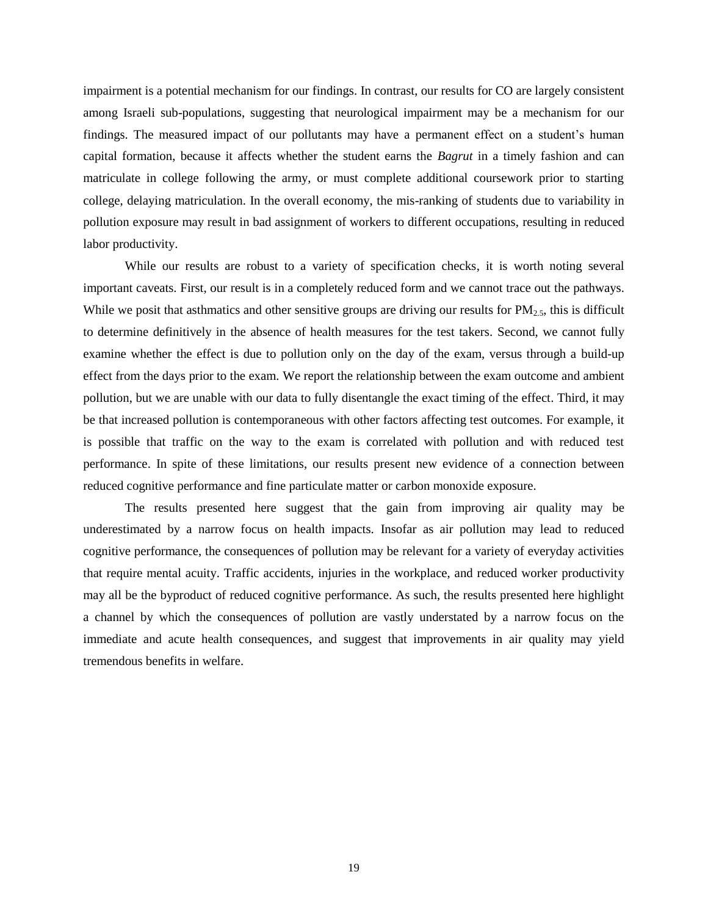impairment is a potential mechanism for our findings. In contrast, our results for CO are largely consistent among Israeli sub-populations, suggesting that neurological impairment may be a mechanism for our findings. The measured impact of our pollutants may have a permanent effect on a student's human capital formation, because it affects whether the student earns the *Bagrut* in a timely fashion and can matriculate in college following the army, or must complete additional coursework prior to starting college, delaying matriculation. In the overall economy, the mis-ranking of students due to variability in pollution exposure may result in bad assignment of workers to different occupations, resulting in reduced labor productivity.

While our results are robust to a variety of specification checks, it is worth noting several important caveats. First, our result is in a completely reduced form and we cannot trace out the pathways. While we posit that asthmatics and other sensitive groups are driving our results for  $PM_{2.5}$ , this is difficult to determine definitively in the absence of health measures for the test takers. Second, we cannot fully examine whether the effect is due to pollution only on the day of the exam, versus through a build-up effect from the days prior to the exam. We report the relationship between the exam outcome and ambient pollution, but we are unable with our data to fully disentangle the exact timing of the effect. Third, it may be that increased pollution is contemporaneous with other factors affecting test outcomes. For example, it is possible that traffic on the way to the exam is correlated with pollution and with reduced test performance. In spite of these limitations, our results present new evidence of a connection between reduced cognitive performance and fine particulate matter or carbon monoxide exposure.

The results presented here suggest that the gain from improving air quality may be underestimated by a narrow focus on health impacts. Insofar as air pollution may lead to reduced cognitive performance, the consequences of pollution may be relevant for a variety of everyday activities that require mental acuity. Traffic accidents, injuries in the workplace, and reduced worker productivity may all be the byproduct of reduced cognitive performance. As such, the results presented here highlight a channel by which the consequences of pollution are vastly understated by a narrow focus on the immediate and acute health consequences, and suggest that improvements in air quality may yield tremendous benefits in welfare.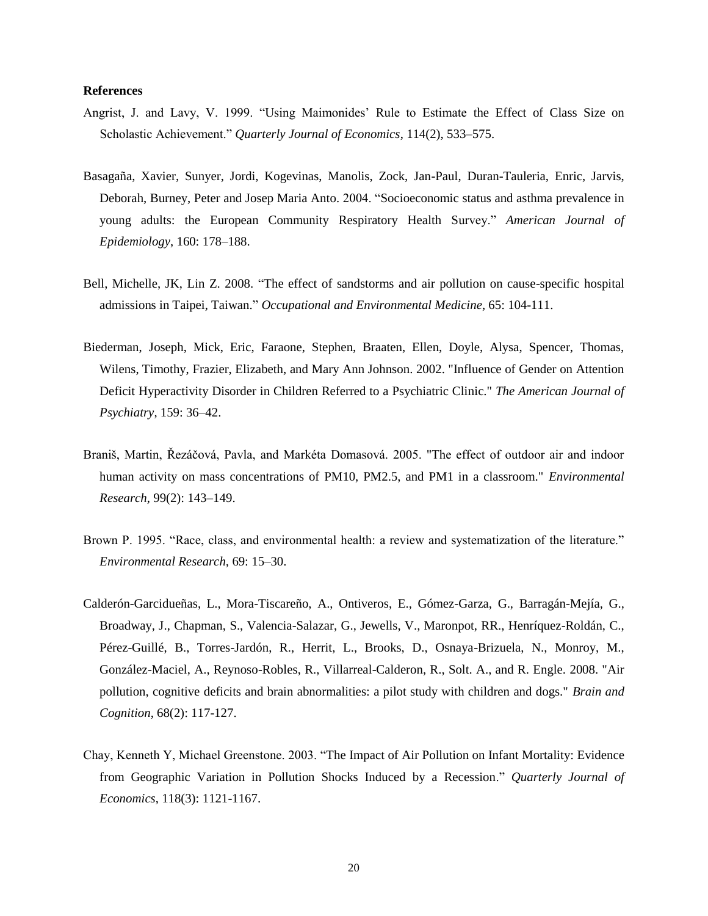#### **References**

- Angrist, J. and Lavy, V. 1999. "Using Maimonides' Rule to Estimate the Effect of Class Size on Scholastic Achievement." *Quarterly Journal of Economics*, 114(2), 533–575.
- Basagaña, Xavier, Sunyer, Jordi, Kogevinas, Manolis, Zock, Jan-Paul, Duran-Tauleria, Enric, Jarvis, Deborah, Burney, Peter and Josep Maria Anto. 2004. "Socioeconomic status and asthma prevalence in young adults: the European Community Respiratory Health Survey." *American Journal of Epidemiology*, 160: 178–188.
- Bell, Michelle, JK, Lin Z. 2008. "The effect of sandstorms and air pollution on cause-specific hospital admissions in Taipei, Taiwan." *Occupational and Environmental Medicine*, 65: 104-111.
- Biederman, Joseph, Mick, Eric, Faraone, Stephen, Braaten, Ellen, Doyle, Alysa, Spencer, Thomas, Wilens, Timothy, Frazier, Elizabeth, and Mary Ann Johnson. 2002. "Influence of Gender on Attention Deficit Hyperactivity Disorder in Children Referred to a Psychiatric Clinic." *The American Journal of Psychiatry*, 159: 36–42.
- Braniš, Martin, Řezáčová, Pavla, and Markéta Domasová. 2005. "The effect of outdoor air and indoor human activity on mass concentrations of PM10, PM2.5, and PM1 in a classroom." *Environmental Research*, 99(2): 143–149.
- Brown P. 1995. "Race, class, and environmental health: a review and systematization of the literature." *Environmental Research,* 69: 15–30.
- Calderón-Garcidueñas, L., Mora-Tiscareño, A., Ontiveros, E., Gómez-Garza, G., Barragán-Mejía, G., Broadway, J., Chapman, S., Valencia-Salazar, G., Jewells, V., Maronpot, RR., Henríquez-Roldán, C., Pérez-Guillé, B., Torres-Jardón, R., Herrit, L., Brooks, D., Osnaya-Brizuela, N., Monroy, M., González-Maciel, A., Reynoso-Robles, R., Villarreal-Calderon, R., Solt. A., and R. Engle. 2008. "Air pollution, cognitive deficits and brain abnormalities: a pilot study with children and dogs." *Brain and Cognition*, 68(2): 117-127.
- Chay, Kenneth Y, Michael Greenstone. 2003. "The Impact of Air Pollution on Infant Mortality: Evidence from Geographic Variation in Pollution Shocks Induced by a Recession." *Quarterly Journal of Economics*, 118(3): 1121-1167.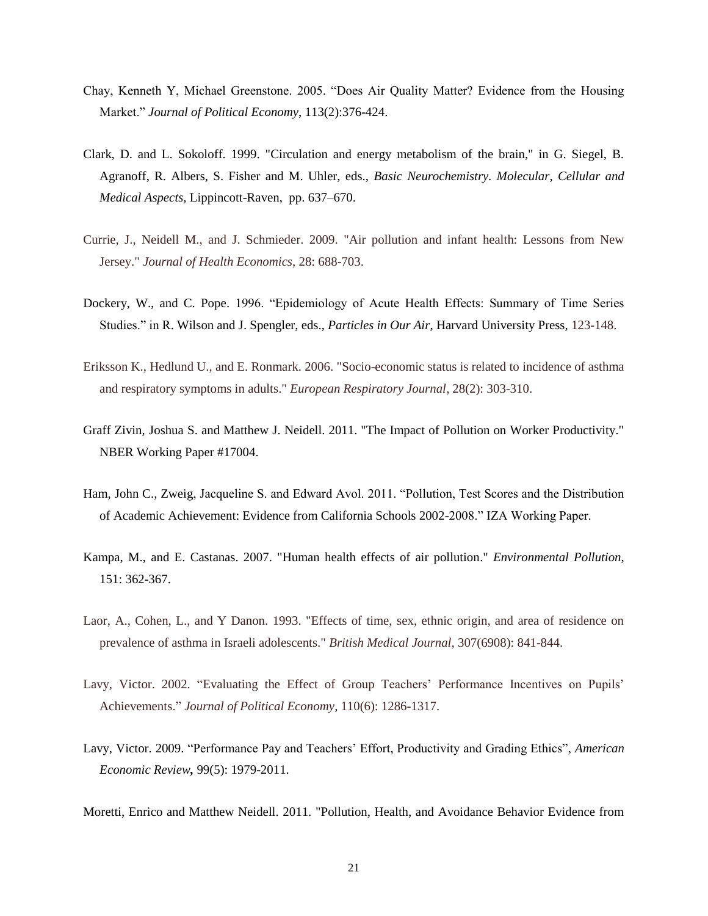- Chay, Kenneth Y, Michael Greenstone. 2005. "Does Air Quality Matter? Evidence from the Housing Market." *Journal of Political Economy*, 113(2):376-424.
- Clark, D. and L. Sokoloff. 1999. "Circulation and energy metabolism of the brain," in G. Siegel, B. Agranoff, R. Albers, S. Fisher and M. Uhler, eds., *Basic Neurochemistry. Molecular, Cellular and Medical Aspects*, Lippincott-Raven, pp. 637–670.
- Currie, J., Neidell M., and J. Schmieder. 2009. "Air pollution and infant health: Lessons from New Jersey." *Journal of Health Economics*, 28: 688-703.
- Dockery, W., and C. Pope. 1996. "Epidemiology of Acute Health Effects: Summary of Time Series Studies." in R. Wilson and J. Spengler, eds., *Particles in Our Air*, Harvard University Press, 123-148.
- Eriksson K., Hedlund U., and E. Ronmark. 2006. "Socio-economic status is related to incidence of asthma and respiratory symptoms in adults." *European Respiratory Journal*, 28(2): 303-310.
- Graff Zivin, Joshua S. and Matthew J. Neidell. 2011. "The Impact of Pollution on Worker Productivity." NBER Working Paper #17004.
- Ham, John C., Zweig, Jacqueline S. and Edward Avol. 2011. "Pollution, Test Scores and the Distribution of Academic Achievement: Evidence from California Schools 2002-2008." IZA Working Paper.
- Kampa, M., and E. Castanas. 2007. "Human health effects of air pollution." *Environmental Pollution*, 151: 362-367.
- Laor, A., Cohen, L., and Y Danon. 1993. "Effects of time, sex, ethnic origin, and area of residence on prevalence of asthma in Israeli adolescents." *British Medical Journal*, 307(6908): 841-844.
- Lavy, Victor. 2002. "Evaluating the Effect of Group Teachers' Performance Incentives on Pupils' Achievements." *Journal of Political Economy*, 110(6): 1286-1317.
- Lavy, Victor. 2009. "Performance Pay and Teachers' Effort, Productivity and Grading Ethics", *American Economic Review,* 99(5): 1979-2011.
- Moretti, Enrico and Matthew Neidell. 2011. "Pollution, Health, and Avoidance Behavior Evidence from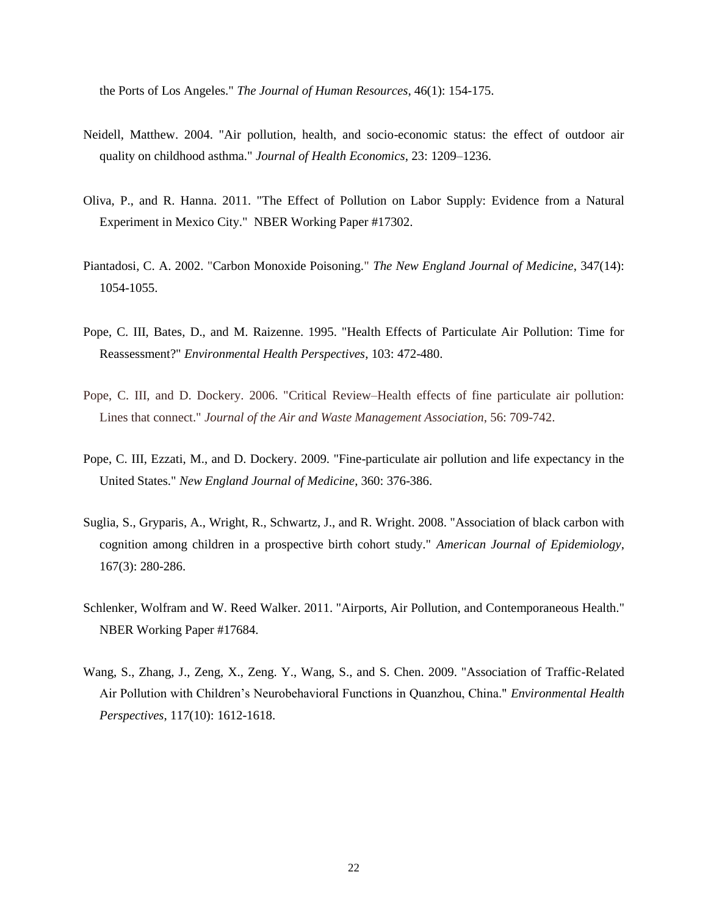the Ports of Los Angeles." *The Journal of Human Resources*, 46(1): 154-175.

- Neidell, Matthew. 2004. "Air pollution, health, and socio-economic status: the effect of outdoor air quality on childhood asthma." *Journal of Health Economics*, 23: 1209–1236.
- Oliva, P., and R. Hanna. 2011. "The Effect of Pollution on Labor Supply: Evidence from a Natural Experiment in Mexico City." NBER Working Paper #17302.
- Piantadosi, C. A. 2002. "Carbon Monoxide Poisoning." *The New England Journal of Medicine*, 347(14): 1054-1055.
- Pope, C. III, Bates, D., and M. Raizenne. 1995. "Health Effects of Particulate Air Pollution: Time for Reassessment?" *Environmental Health Perspectives*, 103: 472-480.
- Pope, C. III, and D. Dockery. 2006. "Critical Review–Health effects of fine particulate air pollution: Lines that connect." *Journal of the Air and Waste Management Association*, 56: 709-742.
- Pope, C. III, Ezzati, M., and D. Dockery. 2009. "Fine-particulate air pollution and life expectancy in the United States." *New England Journal of Medicine*, 360: 376-386.
- Suglia, S., Gryparis, A., Wright, R., Schwartz, J., and R. Wright. 2008. "Association of black carbon with cognition among children in a prospective birth cohort study." *American Journal of Epidemiology*, 167(3): 280-286.
- Schlenker, Wolfram and W. Reed Walker. 2011. "Airports, Air Pollution, and Contemporaneous Health." NBER Working Paper #17684.
- Wang, S., Zhang, J., Zeng, X., Zeng. Y., Wang, S., and S. Chen. 2009. "Association of Traffic-Related Air Pollution with Children's Neurobehavioral Functions in Quanzhou, China." *Environmental Health Perspectives*, 117(10): 1612-1618.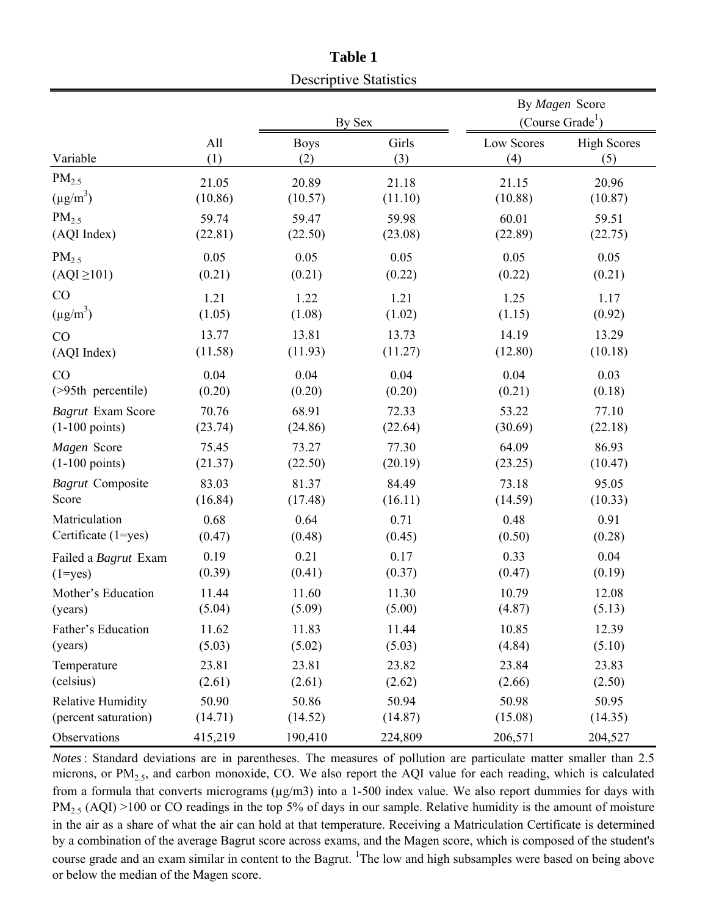|                          |         |             | Descriptive Statistics |            |                                                |
|--------------------------|---------|-------------|------------------------|------------|------------------------------------------------|
|                          |         |             | By Sex                 |            | By Magen Score<br>(Course Grade <sup>1</sup> ) |
| Variable                 | All     | <b>Boys</b> | Girls                  | Low Scores | <b>High Scores</b>                             |
|                          | (1)     | (2)         | (3)                    | (4)        | (5)                                            |
| $PM_{2.5}$               | 21.05   | 20.89       | 21.18                  | 21.15      | 20.96                                          |
| $(\mu g/m^3)$            | (10.86) | (10.57)     | (11.10)                | (10.88)    | (10.87)                                        |
| $PM_{2.5}$               | 59.74   | 59.47       | 59.98                  | 60.01      | 59.51                                          |
| (AQI Index)              | (22.81) | (22.50)     | (23.08)                | (22.89)    | (22.75)                                        |
| $PM_{2.5}$               | 0.05    | 0.05        | 0.05                   | 0.05       | 0.05                                           |
| $(AQI \ge 101)$          | (0.21)  | (0.21)      | (0.22)                 | (0.22)     | (0.21)                                         |
| CO                       | 1.21    | 1.22        | 1.21                   | 1.25       | 1.17                                           |
| $(\mu g/m^3)$            | (1.05)  | (1.08)      | (1.02)                 | (1.15)     | (0.92)                                         |
| CO                       | 13.77   | 13.81       | 13.73                  | 14.19      | 13.29                                          |
| (AQI Index)              | (11.58) | (11.93)     | (11.27)                | (12.80)    | (10.18)                                        |
| CO                       | 0.04    | 0.04        | 0.04                   | 0.04       | 0.03                                           |
| (>95th percentile)       | (0.20)  | (0.20)      | (0.20)                 | (0.21)     | (0.18)                                         |
| <b>Bagrut Exam Score</b> | 70.76   | 68.91       | 72.33                  | 53.22      | 77.10                                          |
| $(1-100 \text{ points})$ | (23.74) | (24.86)     | (22.64)                | (30.69)    | (22.18)                                        |
| Magen Score              | 75.45   | 73.27       | 77.30                  | 64.09      | 86.93                                          |
| $(1-100 \text{ points})$ | (21.37) | (22.50)     | (20.19)                | (23.25)    | (10.47)                                        |
| <b>Bagrut</b> Composite  | 83.03   | 81.37       | 84.49                  | 73.18      | 95.05                                          |
| Score                    | (16.84) | (17.48)     | (16.11)                | (14.59)    | (10.33)                                        |
| Matriculation            | 0.68    | 0.64        | 0.71                   | 0.48       | 0.91                                           |
| Certificate (1=yes)      | (0.47)  | (0.48)      | (0.45)                 | (0.50)     | (0.28)                                         |
| Failed a Bagrut Exam     | 0.19    | 0.21        | 0.17                   | 0.33       | 0.04                                           |
| $(1 = yes)$              | (0.39)  | (0.41)      | (0.37)                 | (0.47)     | (0.19)                                         |
| Mother's Education       | 11.44   | 11.60       | 11.30                  | 10.79      | 12.08                                          |
| (years)                  | (5.04)  | (5.09)      | (5.00)                 | (4.87)     | (5.13)                                         |
| Father's Education       | 11.62   | 11.83       | 11.44                  | 10.85      | 12.39                                          |
| (years)                  | (5.03)  | (5.02)      | (5.03)                 | (4.84)     | (5.10)                                         |
| Temperature              | 23.81   | 23.81       | 23.82                  | 23.84      | 23.83                                          |
| (celsius)                | (2.61)  | (2.61)      | (2.62)                 | (2.66)     | (2.50)                                         |
| <b>Relative Humidity</b> | 50.90   | 50.86       | 50.94                  | 50.98      | 50.95                                          |
| (percent saturation)     | (14.71) | (14.52)     | (14.87)                | (15.08)    | (14.35)                                        |
| Observations             | 415,219 | 190,410     | 224,809                | 206,571    | 204,527                                        |

**Table 1**  $D = \frac{1}{2}$ 

*Notes*: Standard deviations are in parentheses. The measures of pollution are particulate matter smaller than 2.5 microns, or  $PM<sub>2.5</sub>$ , and carbon monoxide, CO. We also report the AQI value for each reading, which is calculated from a formula that converts micrograms ( $\mu$ g/m3) into a 1-500 index value. We also report dummies for days with  $PM_{2.5}$  (AQI) >100 or CO readings in the top 5% of days in our sample. Relative humidity is the amount of moisture in the air as a share of what the air can hold at that temperature. Receiving a Matriculation Certificate is determined by a combination of the average Bagrut score across exams, and the Magen score, which is composed of the student's course grade and an exam similar in content to the Bagrut. <sup>1</sup>The low and high subsamples were based on being above or below the median of the Magen score.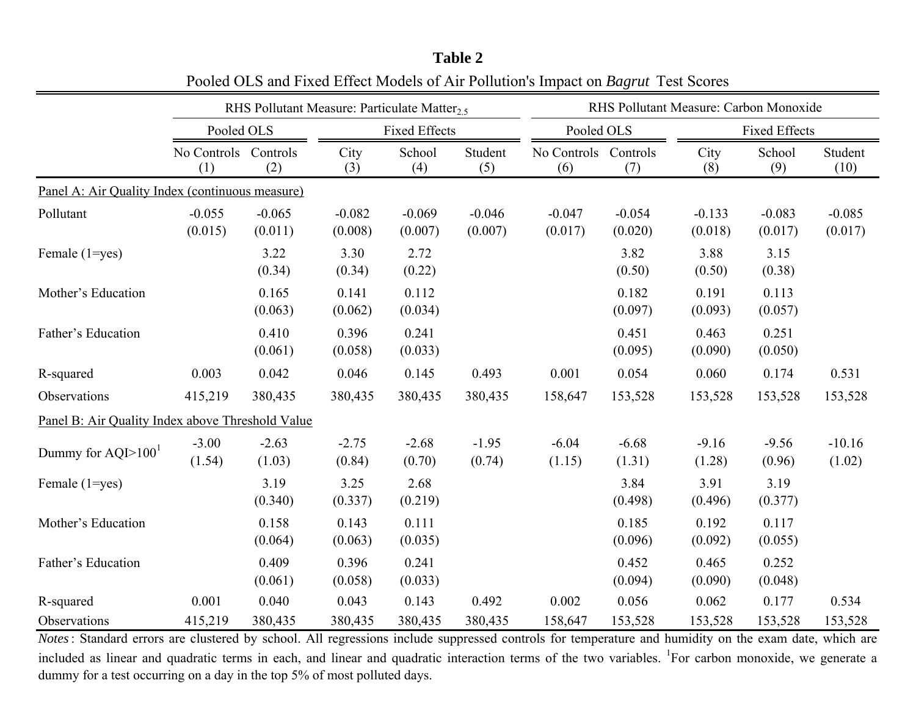|                                                  |                             |                     | RHS Pollutant Measure: Particulate Matter <sub>2.5</sub> |                      |                     |                             |                     | RHS Pollutant Measure: Carbon Monoxide |                      |                     |
|--------------------------------------------------|-----------------------------|---------------------|----------------------------------------------------------|----------------------|---------------------|-----------------------------|---------------------|----------------------------------------|----------------------|---------------------|
|                                                  | Pooled OLS                  |                     |                                                          | <b>Fixed Effects</b> |                     | Pooled OLS                  |                     |                                        | <b>Fixed Effects</b> |                     |
|                                                  | No Controls Controls<br>(1) | (2)                 | City<br>(3)                                              | School<br>(4)        | Student<br>(5)      | No Controls Controls<br>(6) | (7)                 | City<br>(8)                            | School<br>(9)        | Student<br>(10)     |
| Panel A: Air Quality Index (continuous measure)  |                             |                     |                                                          |                      |                     |                             |                     |                                        |                      |                     |
| Pollutant                                        | $-0.055$<br>(0.015)         | $-0.065$<br>(0.011) | $-0.082$<br>(0.008)                                      | $-0.069$<br>(0.007)  | $-0.046$<br>(0.007) | $-0.047$<br>(0.017)         | $-0.054$<br>(0.020) | $-0.133$<br>(0.018)                    | $-0.083$<br>(0.017)  | $-0.085$<br>(0.017) |
| Female (1=yes)                                   |                             | 3.22<br>(0.34)      | 3.30<br>(0.34)                                           | 2.72<br>(0.22)       |                     |                             | 3.82<br>(0.50)      | 3.88<br>(0.50)                         | 3.15<br>(0.38)       |                     |
| Mother's Education                               |                             | 0.165<br>(0.063)    | 0.141<br>(0.062)                                         | 0.112<br>(0.034)     |                     |                             | 0.182<br>(0.097)    | 0.191<br>(0.093)                       | 0.113<br>(0.057)     |                     |
| Father's Education                               |                             | 0.410<br>(0.061)    | 0.396<br>(0.058)                                         | 0.241<br>(0.033)     |                     |                             | 0.451<br>(0.095)    | 0.463<br>(0.090)                       | 0.251<br>(0.050)     |                     |
| R-squared                                        | 0.003                       | 0.042               | 0.046                                                    | 0.145                | 0.493               | 0.001                       | 0.054               | 0.060                                  | 0.174                | 0.531               |
| Observations                                     | 415,219                     | 380,435             | 380,435                                                  | 380,435              | 380,435             | 158,647                     | 153,528             | 153,528                                | 153,528              | 153,528             |
| Panel B: Air Quality Index above Threshold Value |                             |                     |                                                          |                      |                     |                             |                     |                                        |                      |                     |
| Dummy for $AQI>1001$                             | $-3.00$<br>(1.54)           | $-2.63$<br>(1.03)   | $-2.75$<br>(0.84)                                        | $-2.68$<br>(0.70)    | $-1.95$<br>(0.74)   | $-6.04$<br>(1.15)           | $-6.68$<br>(1.31)   | $-9.16$<br>(1.28)                      | $-9.56$<br>(0.96)    | $-10.16$<br>(1.02)  |
| Female (1=yes)                                   |                             | 3.19<br>(0.340)     | 3.25<br>(0.337)                                          | 2.68<br>(0.219)      |                     |                             | 3.84<br>(0.498)     | 3.91<br>(0.496)                        | 3.19<br>(0.377)      |                     |
| Mother's Education                               |                             | 0.158<br>(0.064)    | 0.143<br>(0.063)                                         | 0.111<br>(0.035)     |                     |                             | 0.185<br>(0.096)    | 0.192<br>(0.092)                       | 0.117<br>(0.055)     |                     |
| Father's Education                               |                             | 0.409<br>(0.061)    | 0.396<br>(0.058)                                         | 0.241<br>(0.033)     |                     |                             | 0.452<br>(0.094)    | 0.465<br>(0.090)                       | 0.252<br>(0.048)     |                     |
| R-squared                                        | 0.001                       | 0.040               | 0.043                                                    | 0.143                | 0.492               | 0.002                       | 0.056               | 0.062                                  | 0.177                | 0.534               |
| Observations                                     | 415,219                     | 380,435             | 380,435                                                  | 380,435              | 380,435             | 158,647                     | 153,528             | 153,528                                | 153,528              | 153,528             |

**Table 2** Pooled OLS and Fixed Effect Models of Air Pollution's Impact on *Bagrut* Test Scores

*Notes*: Standard errors are clustered by school. All regressions include suppressed controls for temperature and humidity on the exam date, which are included as linear and quadratic terms in each, and linear and quadratic interaction terms of the two variables. <sup>1</sup>For carbon monoxide, we generate a dummy for a test occurring on a day in the top 5% of most polluted days.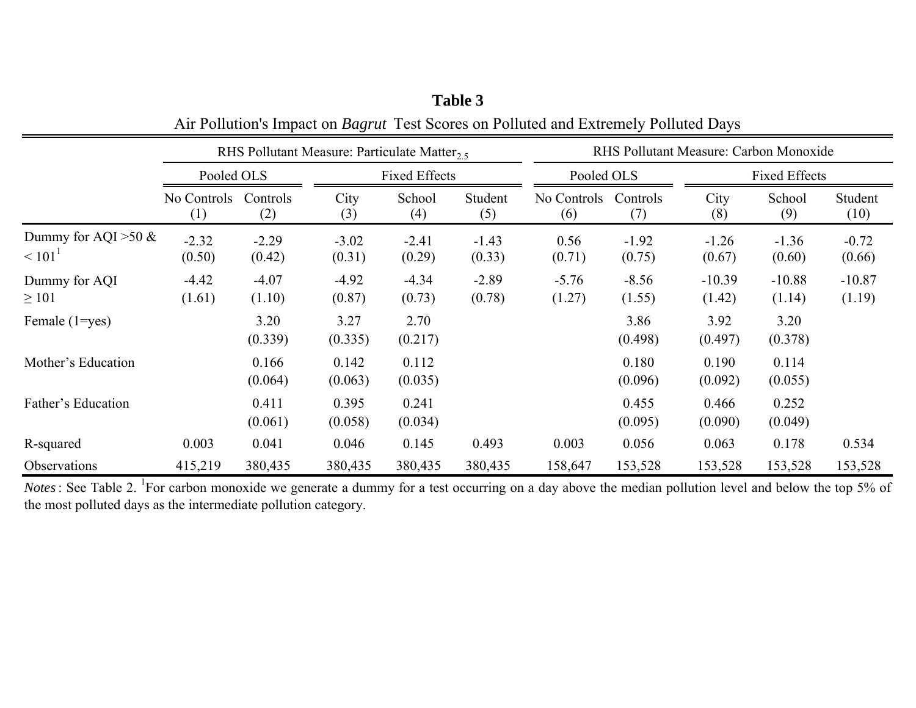|                                         |                    |                   | RHS Pollutant Measure: Particulate Matter <sub>2.5</sub> |                   |                   | RHS Pollutant Measure: Carbon Monoxide |                   |                    |                      |                    |  |
|-----------------------------------------|--------------------|-------------------|----------------------------------------------------------|-------------------|-------------------|----------------------------------------|-------------------|--------------------|----------------------|--------------------|--|
|                                         | Pooled OLS         |                   | <b>Fixed Effects</b>                                     |                   |                   |                                        | Pooled OLS        |                    | <b>Fixed Effects</b> |                    |  |
|                                         | No Controls<br>(1) | Controls<br>(2)   | City<br>(3)                                              | School<br>(4)     | Student<br>(5)    | No Controls<br>(6)                     | Controls<br>(7)   | City<br>(8)        | School<br>(9)        | Student<br>(10)    |  |
| Dummy for AQI > 50 $\&$<br>$\leq 101^1$ | $-2.32$<br>(0.50)  | $-2.29$<br>(0.42) | $-3.02$<br>(0.31)                                        | $-2.41$<br>(0.29) | $-1.43$<br>(0.33) | 0.56<br>(0.71)                         | $-1.92$<br>(0.75) | $-1.26$<br>(0.67)  | $-1.36$<br>(0.60)    | $-0.72$<br>(0.66)  |  |
| Dummy for AQI<br>$\geq 101$             | $-4.42$<br>(1.61)  | $-4.07$<br>(1.10) | $-4.92$<br>(0.87)                                        | $-4.34$<br>(0.73) | $-2.89$<br>(0.78) | $-5.76$<br>(1.27)                      | $-8.56$<br>(1.55) | $-10.39$<br>(1.42) | $-10.88$<br>(1.14)   | $-10.87$<br>(1.19) |  |
| Female $(1 = yes)$                      |                    | 3.20<br>(0.339)   | 3.27<br>(0.335)                                          | 2.70<br>(0.217)   |                   |                                        | 3.86<br>(0.498)   | 3.92<br>(0.497)    | 3.20<br>(0.378)      |                    |  |
| Mother's Education                      |                    | 0.166<br>(0.064)  | 0.142<br>(0.063)                                         | 0.112<br>(0.035)  |                   |                                        | 0.180<br>(0.096)  | 0.190<br>(0.092)   | 0.114<br>(0.055)     |                    |  |
| Father's Education                      |                    | 0.411<br>(0.061)  | 0.395<br>(0.058)                                         | 0.241<br>(0.034)  |                   |                                        | 0.455<br>(0.095)  | 0.466<br>(0.090)   | 0.252<br>(0.049)     |                    |  |
| R-squared                               | 0.003              | 0.041             | 0.046                                                    | 0.145             | 0.493             | 0.003                                  | 0.056             | 0.063              | 0.178                | 0.534              |  |
| Observations                            | 415,219            | 380,435           | 380,435                                                  | 380,435           | 380,435           | 158,647                                | 153,528           | 153,528            | 153,528              | 153,528            |  |

**Table 3** Air Pollution's Impact on *Bagrut* Test Scores on Polluted and Extremely Polluted Days

*Notes*: See Table 2. <sup>1</sup>For carbon monoxide we generate a dummy for a test occurring on a day above the median pollution level and below the top 5% of the most polluted days as the intermediate pollution category.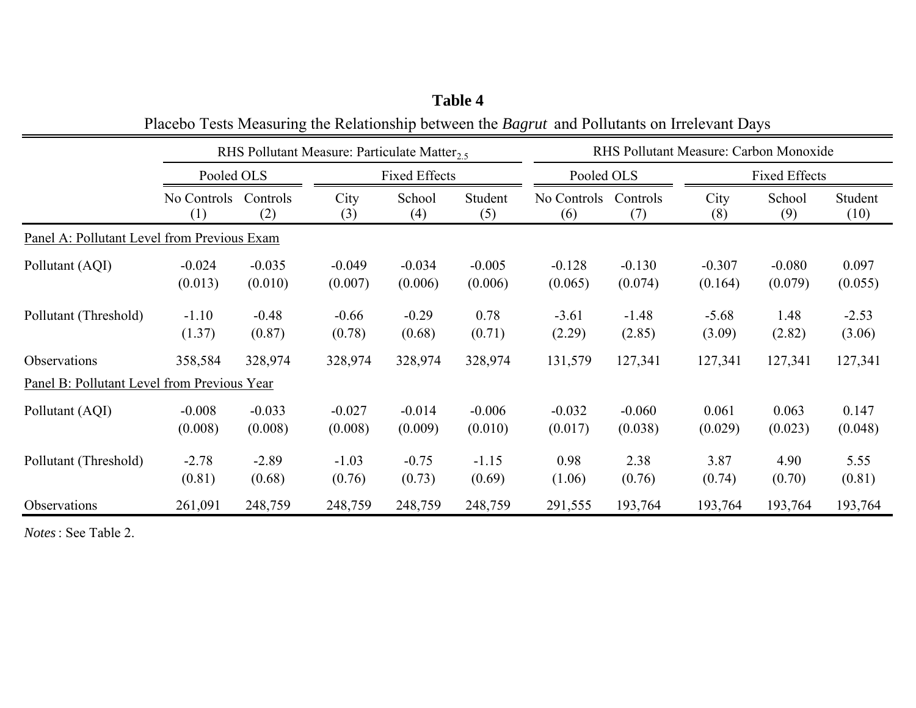|                                             |                     |                     | RHS Pollutant Measure: Particulate Matter <sub>2.5</sub> |                      |                     |                     |                     | RHS Pollutant Measure: Carbon Monoxide |                      |                   |  |
|---------------------------------------------|---------------------|---------------------|----------------------------------------------------------|----------------------|---------------------|---------------------|---------------------|----------------------------------------|----------------------|-------------------|--|
|                                             | Pooled OLS          |                     |                                                          | <b>Fixed Effects</b> |                     | Pooled OLS          |                     |                                        | <b>Fixed Effects</b> |                   |  |
|                                             | No Controls<br>(1)  | Controls<br>(2)     | City<br>(3)                                              | School<br>(4)        | Student<br>(5)      | No Controls<br>(6)  | Controls<br>(7)     | City<br>(8)                            | School<br>(9)        | Student<br>(10)   |  |
| Panel A: Pollutant Level from Previous Exam |                     |                     |                                                          |                      |                     |                     |                     |                                        |                      |                   |  |
| Pollutant (AQI)                             | $-0.024$<br>(0.013) | $-0.035$<br>(0.010) | $-0.049$<br>(0.007)                                      | $-0.034$<br>(0.006)  | $-0.005$<br>(0.006) | $-0.128$<br>(0.065) | $-0.130$<br>(0.074) | $-0.307$<br>(0.164)                    | $-0.080$<br>(0.079)  | 0.097<br>(0.055)  |  |
| Pollutant (Threshold)                       | $-1.10$<br>(1.37)   | $-0.48$<br>(0.87)   | $-0.66$<br>(0.78)                                        | $-0.29$<br>(0.68)    | 0.78<br>(0.71)      | $-3.61$<br>(2.29)   | $-1.48$<br>(2.85)   | $-5.68$<br>(3.09)                      | 1.48<br>(2.82)       | $-2.53$<br>(3.06) |  |
| Observations                                | 358,584             | 328,974             | 328,974                                                  | 328,974              | 328,974             | 131,579             | 127,341             | 127,341                                | 127,341              | 127,341           |  |
| Panel B: Pollutant Level from Previous Year |                     |                     |                                                          |                      |                     |                     |                     |                                        |                      |                   |  |
| Pollutant (AQI)                             | $-0.008$<br>(0.008) | $-0.033$<br>(0.008) | $-0.027$<br>(0.008)                                      | $-0.014$<br>(0.009)  | $-0.006$<br>(0.010) | $-0.032$<br>(0.017) | $-0.060$<br>(0.038) | 0.061<br>(0.029)                       | 0.063<br>(0.023)     | 0.147<br>(0.048)  |  |
| Pollutant (Threshold)                       | $-2.78$<br>(0.81)   | $-2.89$<br>(0.68)   | $-1.03$<br>(0.76)                                        | $-0.75$<br>(0.73)    | $-1.15$<br>(0.69)   | 0.98<br>(1.06)      | 2.38<br>(0.76)      | 3.87<br>(0.74)                         | 4.90<br>(0.70)       | 5.55<br>(0.81)    |  |
| Observations                                | 261,091             | 248,759             | 248,759                                                  | 248,759              | 248,759             | 291,555             | 193,764             | 193,764                                | 193,764              | 193,764           |  |

**Table 4** Placebo Tests Measuring the Relationship between the *Bagrut* and Pollutants on Irrelevant Days

*Notes*: See Table 2.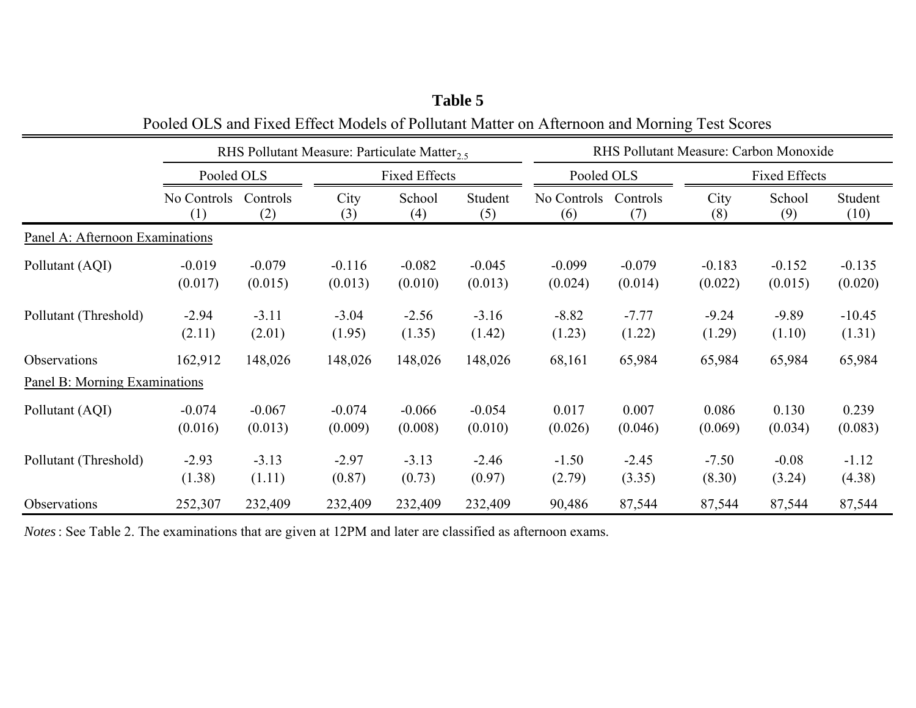|                                 |                     |                     | RHS Pollutant Measure: Particulate Matter <sub>2.5</sub> |                      |                     |                     |                     | RHS Pollutant Measure: Carbon Monoxide |                      |                     |
|---------------------------------|---------------------|---------------------|----------------------------------------------------------|----------------------|---------------------|---------------------|---------------------|----------------------------------------|----------------------|---------------------|
|                                 | Pooled OLS          |                     |                                                          | <b>Fixed Effects</b> |                     | Pooled OLS          |                     |                                        | <b>Fixed Effects</b> |                     |
|                                 | No Controls<br>(1)  | Controls<br>(2)     | City<br>(3)                                              | School<br>(4)        | Student<br>(5)      | No Controls<br>(6)  | Controls<br>(7)     | City<br>(8)                            | School<br>(9)        | Student<br>(10)     |
| Panel A: Afternoon Examinations |                     |                     |                                                          |                      |                     |                     |                     |                                        |                      |                     |
| Pollutant (AQI)                 | $-0.019$<br>(0.017) | $-0.079$<br>(0.015) | $-0.116$<br>(0.013)                                      | $-0.082$<br>(0.010)  | $-0.045$<br>(0.013) | $-0.099$<br>(0.024) | $-0.079$<br>(0.014) | $-0.183$<br>(0.022)                    | $-0.152$<br>(0.015)  | $-0.135$<br>(0.020) |
| Pollutant (Threshold)           | $-2.94$<br>(2.11)   | $-3.11$<br>(2.01)   | $-3.04$<br>(1.95)                                        | $-2.56$<br>(1.35)    | $-3.16$<br>(1.42)   | $-8.82$<br>(1.23)   | $-7.77$<br>(1.22)   | $-9.24$<br>(1.29)                      | $-9.89$<br>(1.10)    | $-10.45$<br>(1.31)  |
| Observations                    | 162,912             | 148,026             | 148,026                                                  | 148,026              | 148,026             | 68,161              | 65,984              | 65,984                                 | 65,984               | 65,984              |
| Panel B: Morning Examinations   |                     |                     |                                                          |                      |                     |                     |                     |                                        |                      |                     |
| Pollutant (AQI)                 | $-0.074$<br>(0.016) | $-0.067$<br>(0.013) | $-0.074$<br>(0.009)                                      | $-0.066$<br>(0.008)  | $-0.054$<br>(0.010) | 0.017<br>(0.026)    | 0.007<br>(0.046)    | 0.086<br>(0.069)                       | 0.130<br>(0.034)     | 0.239<br>(0.083)    |
| Pollutant (Threshold)           | $-2.93$<br>(1.38)   | $-3.13$<br>(1.11)   | $-2.97$<br>(0.87)                                        | $-3.13$<br>(0.73)    | $-2.46$<br>(0.97)   | $-1.50$<br>(2.79)   | $-2.45$<br>(3.35)   | $-7.50$<br>(8.30)                      | $-0.08$<br>(3.24)    | $-1.12$<br>(4.38)   |
| Observations                    | 252,307             | 232,409             | 232,409                                                  | 232,409              | 232,409             | 90,486              | 87,544              | 87,544                                 | 87,544               | 87,544              |

**Table 5** Pooled OLS and Fixed Effect Models of Pollutant Matter on Afternoon and Morning Test Scores

*Notes*: See Table 2. The examinations that are given at 12PM and later are classified as afternoon exams.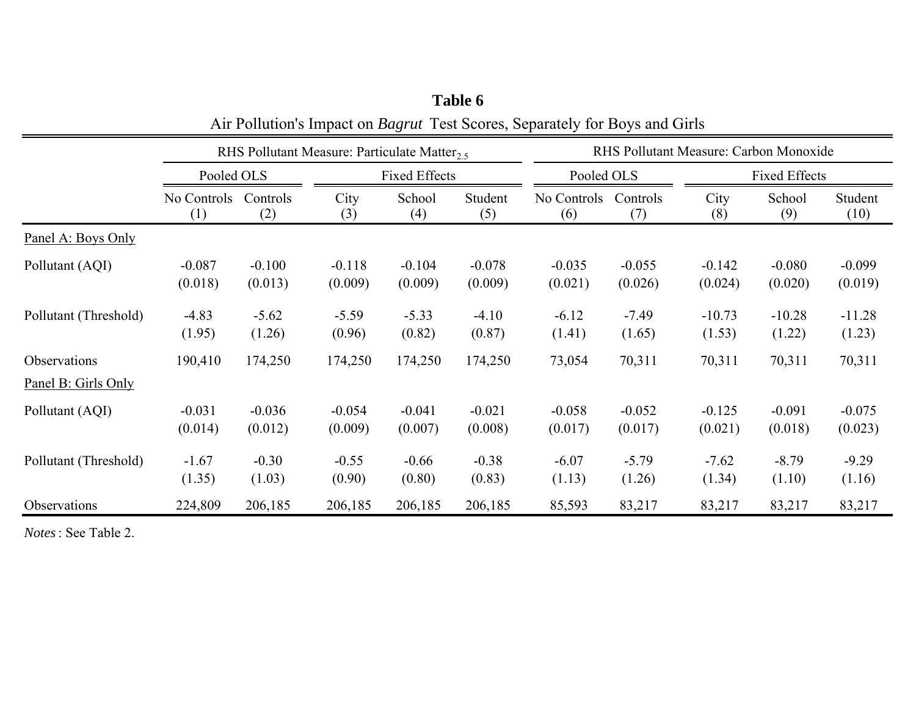|                                     |             |          | RHS Pollutant Measure: Particulate Matter <sub>2.5</sub> |          |          |             |            | RHS Pollutant Measure: Carbon Monoxide |                      |          |  |
|-------------------------------------|-------------|----------|----------------------------------------------------------|----------|----------|-------------|------------|----------------------------------------|----------------------|----------|--|
|                                     | Pooled OLS  |          | <b>Fixed Effects</b>                                     |          |          |             | Pooled OLS |                                        | <b>Fixed Effects</b> |          |  |
|                                     | No Controls | Controls | City                                                     | School   | Student  | No Controls | Controls   | City                                   | School               | Student  |  |
|                                     | (1)         | (2)      | (3)                                                      | (4)      | (5)      | (6)         | (7)        | (8)                                    | (9)                  | (10)     |  |
| Panel A: Boys Only                  |             |          |                                                          |          |          |             |            |                                        |                      |          |  |
| Pollutant (AQI)                     | $-0.087$    | $-0.100$ | $-0.118$                                                 | $-0.104$ | $-0.078$ | $-0.035$    | $-0.055$   | $-0.142$                               | $-0.080$             | $-0.099$ |  |
|                                     | (0.018)     | (0.013)  | (0.009)                                                  | (0.009)  | (0.009)  | (0.021)     | (0.026)    | (0.024)                                | (0.020)              | (0.019)  |  |
| Pollutant (Threshold)               | $-4.83$     | $-5.62$  | $-5.59$                                                  | $-5.33$  | $-4.10$  | $-6.12$     | $-7.49$    | $-10.73$                               | $-10.28$             | $-11.28$ |  |
|                                     | (1.95)      | (1.26)   | (0.96)                                                   | (0.82)   | (0.87)   | (1.41)      | (1.65)     | (1.53)                                 | (1.22)               | (1.23)   |  |
| Observations<br>Panel B: Girls Only | 190,410     | 174,250  | 174,250                                                  | 174,250  | 174,250  | 73,054      | 70,311     | 70,311                                 | 70,311               | 70,311   |  |
| Pollutant (AQI)                     | $-0.031$    | $-0.036$ | $-0.054$                                                 | $-0.041$ | $-0.021$ | $-0.058$    | $-0.052$   | $-0.125$                               | $-0.091$             | $-0.075$ |  |
|                                     | (0.014)     | (0.012)  | (0.009)                                                  | (0.007)  | (0.008)  | (0.017)     | (0.017)    | (0.021)                                | (0.018)              | (0.023)  |  |
| Pollutant (Threshold)               | $-1.67$     | $-0.30$  | $-0.55$                                                  | $-0.66$  | $-0.38$  | $-6.07$     | $-5.79$    | $-7.62$                                | $-8.79$              | $-9.29$  |  |
|                                     | (1.35)      | (1.03)   | (0.90)                                                   | (0.80)   | (0.83)   | (1.13)      | (1.26)     | (1.34)                                 | (1.10)               | (1.16)   |  |
| Observations                        | 224,809     | 206,185  | 206,185                                                  | 206,185  | 206,185  | 85,593      | 83,217     | 83,217                                 | 83,217               | 83,217   |  |

**Table 6** Air Pollution's Impact on *Bagrut* Test Scores, Separately for Boys and Girls

*Notes*: See Table 2.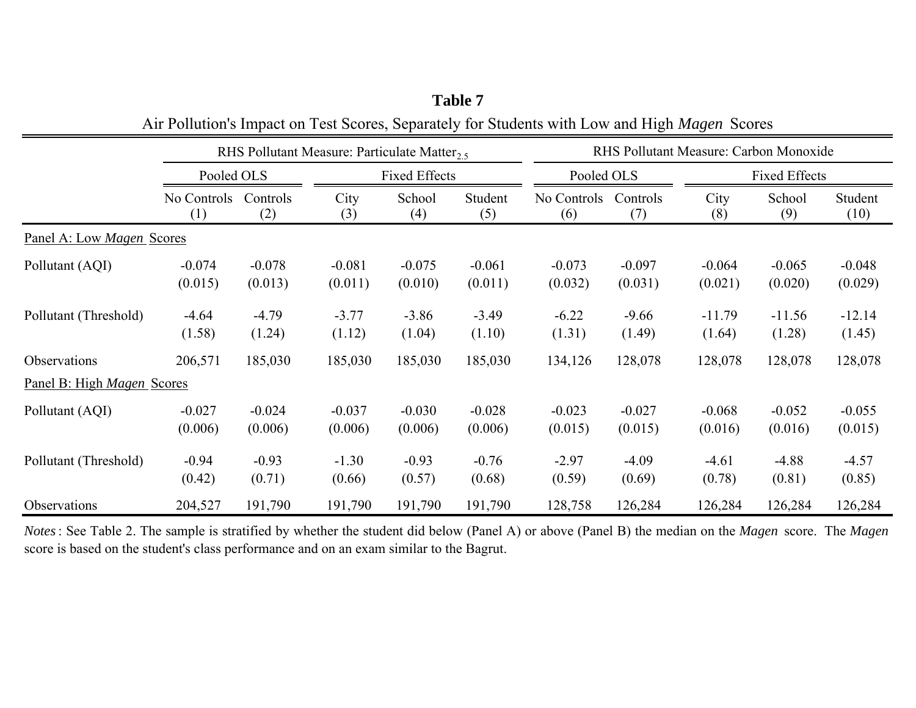|                            |                     |                     | RHS Pollutant Measure: Particulate Matter <sub>2.5</sub> |                     |                     |                     |                     | RHS Pollutant Measure: Carbon Monoxide |                      |                     |  |
|----------------------------|---------------------|---------------------|----------------------------------------------------------|---------------------|---------------------|---------------------|---------------------|----------------------------------------|----------------------|---------------------|--|
|                            | Pooled OLS          |                     | <b>Fixed Effects</b>                                     |                     |                     | Pooled OLS          |                     |                                        | <b>Fixed Effects</b> |                     |  |
|                            | No Controls<br>(1)  | Controls<br>(2)     | City<br>(3)                                              | School<br>(4)       | Student<br>(5)      | No Controls<br>(6)  | Controls<br>(7)     | City<br>(8)                            | School<br>(9)        | Student<br>(10)     |  |
| Panel A: Low Magen Scores  |                     |                     |                                                          |                     |                     |                     |                     |                                        |                      |                     |  |
| Pollutant (AQI)            | $-0.074$<br>(0.015) | $-0.078$<br>(0.013) | $-0.081$<br>(0.011)                                      | $-0.075$<br>(0.010) | $-0.061$<br>(0.011) | $-0.073$<br>(0.032) | $-0.097$<br>(0.031) | $-0.064$<br>(0.021)                    | $-0.065$<br>(0.020)  | $-0.048$<br>(0.029) |  |
| Pollutant (Threshold)      | $-4.64$<br>(1.58)   | $-4.79$<br>(1.24)   | $-3.77$<br>(1.12)                                        | $-3.86$<br>(1.04)   | $-3.49$<br>(1.10)   | $-6.22$<br>(1.31)   | $-9.66$<br>(1.49)   | $-11.79$<br>(1.64)                     | $-11.56$<br>(1.28)   | $-12.14$<br>(1.45)  |  |
| Observations               | 206,571             | 185,030             | 185,030                                                  | 185,030             | 185,030             | 134,126             | 128,078             | 128,078                                | 128,078              | 128,078             |  |
| Panel B: High Magen Scores |                     |                     |                                                          |                     |                     |                     |                     |                                        |                      |                     |  |
| Pollutant (AQI)            | $-0.027$<br>(0.006) | $-0.024$<br>(0.006) | $-0.037$<br>(0.006)                                      | $-0.030$<br>(0.006) | $-0.028$<br>(0.006) | $-0.023$<br>(0.015) | $-0.027$<br>(0.015) | $-0.068$<br>(0.016)                    | $-0.052$<br>(0.016)  | $-0.055$<br>(0.015) |  |
| Pollutant (Threshold)      | $-0.94$<br>(0.42)   | $-0.93$<br>(0.71)   | $-1.30$<br>(0.66)                                        | $-0.93$<br>(0.57)   | $-0.76$<br>(0.68)   | $-2.97$<br>(0.59)   | $-4.09$<br>(0.69)   | $-4.61$<br>(0.78)                      | $-4.88$<br>(0.81)    | $-4.57$<br>(0.85)   |  |
| Observations               | 204,527             | 191,790             | 191,790                                                  | 191,790             | 191,790             | 128,758             | 126,284             | 126,284                                | 126,284              | 126,284             |  |

**Table 7** Air Pollution's Impact on Test Scores, Separately for Students with Low and High *Magen* Scores

*Notes*: See Table 2. The sample is stratified by whether the student did below (Panel A) or above (Panel B) the median on the *Magen* score. The *Magen*  score is based on the student's class performance and on an exam similar to the Bagrut.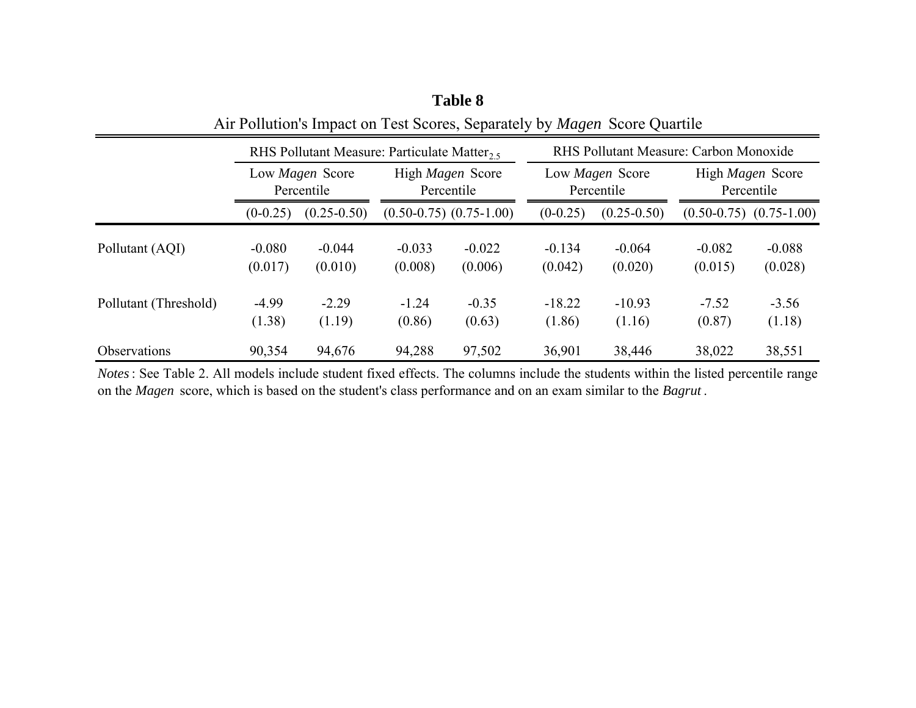|                       |                               | RHS Pollutant Measure: Particulate Matter <sub>25</sub> |                     |                                |                     | RHS Pollutant Measure: Carbon Monoxide |                                       |                             |  |  |
|-----------------------|-------------------------------|---------------------------------------------------------|---------------------|--------------------------------|---------------------|----------------------------------------|---------------------------------------|-----------------------------|--|--|
|                       | Low Magen Score<br>Percentile |                                                         |                     | High Magen Score<br>Percentile |                     | Low Magen Score<br>Percentile          | High <i>Magen</i> Score<br>Percentile |                             |  |  |
|                       | $(0-0.25)$                    | $(0.25 - 0.50)$                                         |                     | $(0.50-0.75)$ $(0.75-1.00)$    | $(0-0.25)$          | $(0.25 - 0.50)$                        |                                       | $(0.50-0.75)$ $(0.75-1.00)$ |  |  |
| Pollutant (AQI)       | $-0.080$<br>(0.017)           | $-0.044$<br>(0.010)                                     | $-0.033$<br>(0.008) | $-0.022$<br>(0.006)            | $-0.134$<br>(0.042) | $-0.064$<br>(0.020)                    | $-0.082$<br>(0.015)                   | $-0.088$<br>(0.028)         |  |  |
| Pollutant (Threshold) | $-4.99$<br>(1.38)             | $-2.29$<br>(1.19)                                       | $-1.24$<br>(0.86)   | $-0.35$<br>(0.63)              | $-18.22$<br>(1.86)  | $-10.93$<br>(1.16)                     | $-7.52$<br>(0.87)                     | $-3.56$<br>(1.18)           |  |  |
| <b>Observations</b>   | 90,354                        | 94,676                                                  | 94,288              | 97,502                         | 36,901              | 38,446                                 | 38,022                                | 38,551                      |  |  |

**Table 8** Air Pollution's Impact on Test Scores, Separately by *Magen* Score Quartile

*Notes*: See Table 2. All models include student fixed effects. The columns include the students within the listed percentile range on the *Magen* score, which is based on the student's class performance and on an exam similar to the *Bagrut* .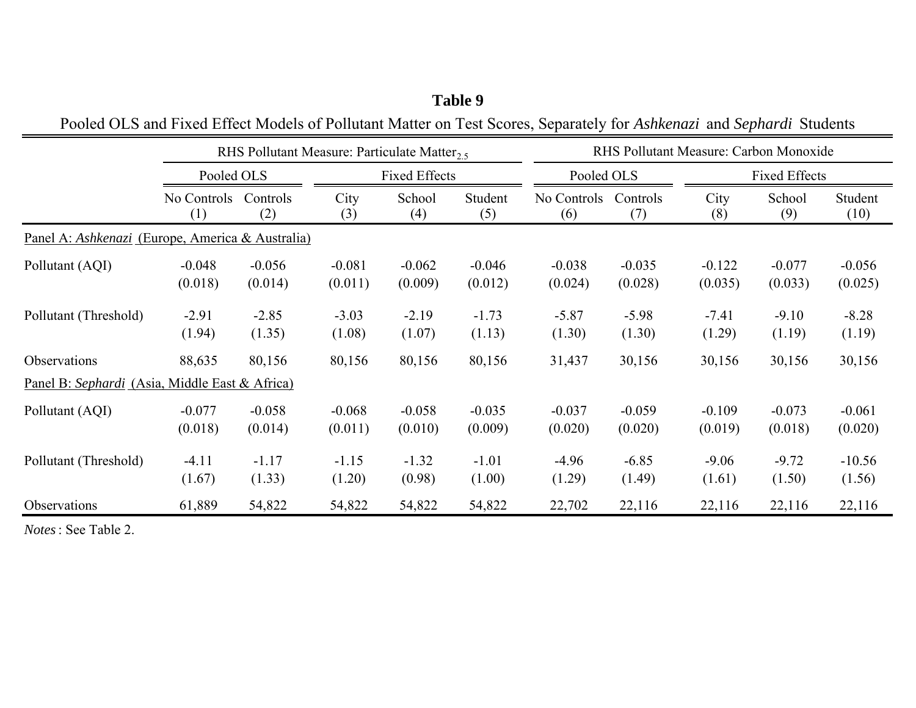|                                                                |                             |                     | RHS Pollutant Measure: Particulate Matter <sub>2.5</sub> |                     |                     |                             |                     | RHS Pollutant Measure: Carbon Monoxide |                      |                     |  |
|----------------------------------------------------------------|-----------------------------|---------------------|----------------------------------------------------------|---------------------|---------------------|-----------------------------|---------------------|----------------------------------------|----------------------|---------------------|--|
|                                                                | Pooled OLS                  |                     | <b>Fixed Effects</b>                                     |                     |                     | Pooled OLS                  |                     |                                        | <b>Fixed Effects</b> |                     |  |
|                                                                | No Controls Controls<br>(1) | (2)                 | City<br>(3)                                              | School<br>(4)       | Student<br>(5)      | No Controls Controls<br>(6) | (7)                 | City<br>(8)                            | School<br>(9)        | Student<br>(10)     |  |
| Panel A: Ashkenazi (Europe, America & Australia)               |                             |                     |                                                          |                     |                     |                             |                     |                                        |                      |                     |  |
| Pollutant (AQI)                                                | $-0.048$<br>(0.018)         | $-0.056$<br>(0.014) | $-0.081$<br>(0.011)                                      | $-0.062$<br>(0.009) | $-0.046$<br>(0.012) | $-0.038$<br>(0.024)         | $-0.035$<br>(0.028) | $-0.122$<br>(0.035)                    | $-0.077$<br>(0.033)  | $-0.056$<br>(0.025) |  |
| Pollutant (Threshold)                                          | $-2.91$<br>(1.94)           | $-2.85$<br>(1.35)   | $-3.03$<br>(1.08)                                        | $-2.19$<br>(1.07)   | $-1.73$<br>(1.13)   | $-5.87$<br>(1.30)           | $-5.98$<br>(1.30)   | $-7.41$<br>(1.29)                      | $-9.10$<br>(1.19)    | $-8.28$<br>(1.19)   |  |
| Observations<br>Panel B: Sephardi (Asia, Middle East & Africa) | 88,635                      | 80,156              | 80,156                                                   | 80,156              | 80,156              | 31,437                      | 30,156              | 30,156                                 | 30,156               | 30,156              |  |
| Pollutant (AQI)                                                | $-0.077$<br>(0.018)         | $-0.058$<br>(0.014) | $-0.068$<br>(0.011)                                      | $-0.058$<br>(0.010) | $-0.035$<br>(0.009) | $-0.037$<br>(0.020)         | $-0.059$<br>(0.020) | $-0.109$<br>(0.019)                    | $-0.073$<br>(0.018)  | $-0.061$<br>(0.020) |  |
| Pollutant (Threshold)                                          | $-4.11$<br>(1.67)           | $-1.17$<br>(1.33)   | $-1.15$<br>(1.20)                                        | $-1.32$<br>(0.98)   | $-1.01$<br>(1.00)   | $-4.96$<br>(1.29)           | $-6.85$<br>(1.49)   | $-9.06$<br>(1.61)                      | $-9.72$<br>(1.50)    | $-10.56$<br>(1.56)  |  |
| Observations                                                   | 61,889                      | 54,822              | 54,822                                                   | 54,822              | 54,822              | 22,702                      | 22,116              | 22,116                                 | 22,116               | 22,116              |  |

Pooled OLS and Fixed Effect Models of Pollutant Matter on Test Scores, Separately for *Ashkenazi* and *Sephardi* Students

*Notes*: See Table 2.

# **Table 9**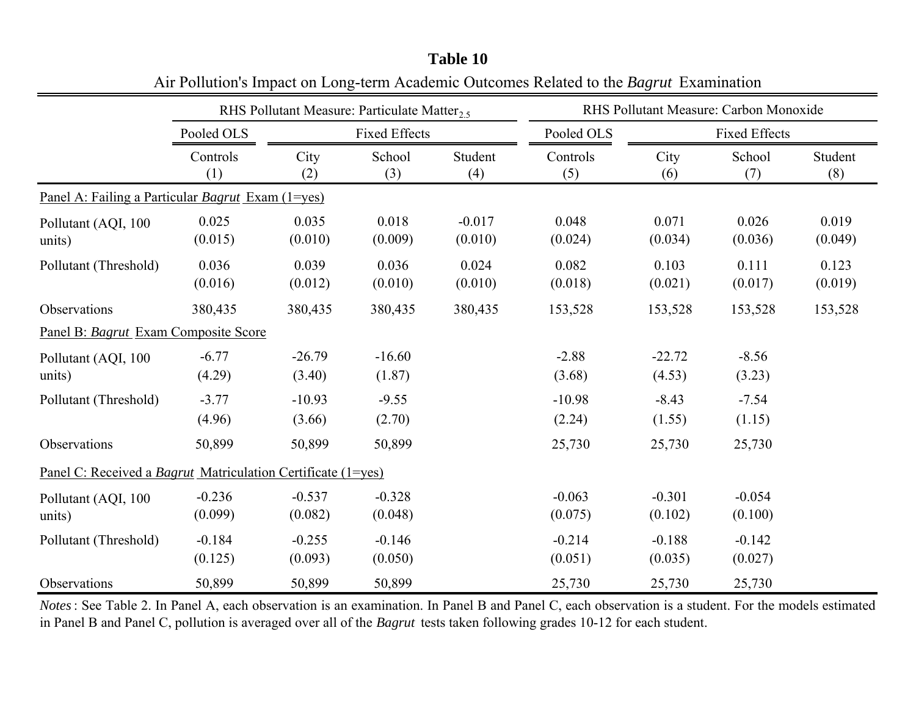|                                                                     |                     | RHS Pollutant Measure: Particulate Matter <sub>2.5</sub> |                      |                     |                     |                     | RHS Pollutant Measure: Carbon Monoxide |                  |
|---------------------------------------------------------------------|---------------------|----------------------------------------------------------|----------------------|---------------------|---------------------|---------------------|----------------------------------------|------------------|
|                                                                     | Pooled OLS          |                                                          | <b>Fixed Effects</b> |                     | Pooled OLS          |                     | <b>Fixed Effects</b>                   |                  |
|                                                                     | Controls<br>(1)     | City<br>(2)                                              | School<br>(3)        | Student<br>(4)      | Controls<br>(5)     | City<br>(6)         | School<br>(7)                          | Student<br>(8)   |
| Panel A: Failing a Particular <i>Bagrut</i> Exam (1=yes)            |                     |                                                          |                      |                     |                     |                     |                                        |                  |
| Pollutant (AQI, 100<br>units)                                       | 0.025<br>(0.015)    | 0.035<br>(0.010)                                         | 0.018<br>(0.009)     | $-0.017$<br>(0.010) | 0.048<br>(0.024)    | 0.071<br>(0.034)    | 0.026<br>(0.036)                       | 0.019<br>(0.049) |
| Pollutant (Threshold)                                               | 0.036<br>(0.016)    | 0.039<br>(0.012)                                         | 0.036<br>(0.010)     | 0.024<br>(0.010)    | 0.082<br>(0.018)    | 0.103<br>(0.021)    | 0.111<br>(0.017)                       | 0.123<br>(0.019) |
| Observations                                                        | 380,435             | 380,435                                                  | 380,435              | 380,435             | 153,528             | 153,528             | 153,528                                | 153,528          |
| Panel B: Bagrut Exam Composite Score                                |                     |                                                          |                      |                     |                     |                     |                                        |                  |
| Pollutant (AQI, 100<br>units)                                       | $-6.77$<br>(4.29)   | $-26.79$<br>(3.40)                                       | $-16.60$<br>(1.87)   |                     | $-2.88$<br>(3.68)   | $-22.72$<br>(4.53)  | $-8.56$<br>(3.23)                      |                  |
| Pollutant (Threshold)                                               | $-3.77$<br>(4.96)   | $-10.93$<br>(3.66)                                       | $-9.55$<br>(2.70)    |                     | $-10.98$<br>(2.24)  | $-8.43$<br>(1.55)   | $-7.54$<br>(1.15)                      |                  |
| Observations                                                        | 50,899              | 50,899                                                   | 50,899               |                     | 25,730              | 25,730              | 25,730                                 |                  |
| Panel C: Received a <i>Bagrut</i> Matriculation Certificate (1=yes) |                     |                                                          |                      |                     |                     |                     |                                        |                  |
| Pollutant (AQI, 100<br>units)                                       | $-0.236$<br>(0.099) | $-0.537$<br>(0.082)                                      | $-0.328$<br>(0.048)  |                     | $-0.063$<br>(0.075) | $-0.301$<br>(0.102) | $-0.054$<br>(0.100)                    |                  |
| Pollutant (Threshold)                                               | $-0.184$<br>(0.125) | $-0.255$<br>(0.093)                                      | $-0.146$<br>(0.050)  |                     | $-0.214$<br>(0.051) | $-0.188$<br>(0.035) | $-0.142$<br>(0.027)                    |                  |
| Observations                                                        | 50,899              | 50,899                                                   | 50,899               |                     | 25,730              | 25,730              | 25,730                                 |                  |

| Table 10                                                                                       |  |
|------------------------------------------------------------------------------------------------|--|
| Air Pollution's Impact on Long-term Academic Outcomes Related to the <i>Bagrut</i> Examination |  |

*Notes*: See Table 2. In Panel A, each observation is an examination. In Panel B and Panel C, each observation is <sup>a</sup> student. For the models estimated in Panel B and Panel C, pollution is averaged over all of the *Bagrut* tests taken following grades 10-12 for each student.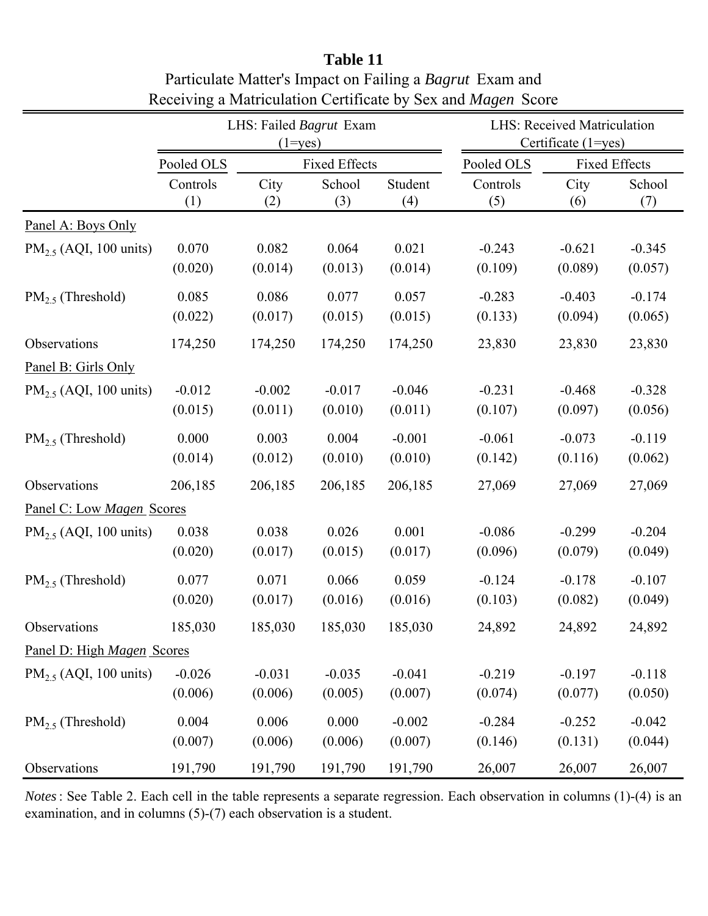|                                    |                     | LHS: Failed Bagrut Exam<br>$(1 = yes)$ |                      |                     |                     | <b>LHS: Received Matriculation</b><br>Certificate (1=yes) |                      |
|------------------------------------|---------------------|----------------------------------------|----------------------|---------------------|---------------------|-----------------------------------------------------------|----------------------|
|                                    | Pooled OLS          |                                        | <b>Fixed Effects</b> |                     | Pooled OLS          |                                                           | <b>Fixed Effects</b> |
|                                    | Controls<br>(1)     | City<br>(2)                            | School<br>(3)        | Student<br>(4)      | Controls<br>(5)     | City<br>(6)                                               | School<br>(7)        |
| Panel A: Boys Only                 |                     |                                        |                      |                     |                     |                                                           |                      |
| PM <sub>2.5</sub> (AQI, 100 units) | 0.070<br>(0.020)    | 0.082<br>(0.014)                       | 0.064<br>(0.013)     | 0.021<br>(0.014)    | $-0.243$<br>(0.109) | $-0.621$<br>(0.089)                                       | $-0.345$<br>(0.057)  |
| $PM_{2.5}$ (Threshold)             | 0.085<br>(0.022)    | 0.086<br>(0.017)                       | 0.077<br>(0.015)     | 0.057<br>(0.015)    | $-0.283$<br>(0.133) | $-0.403$<br>(0.094)                                       | $-0.174$<br>(0.065)  |
| Observations                       | 174,250             | 174,250                                | 174,250              | 174,250             | 23,830              | 23,830                                                    | 23,830               |
| Panel B: Girls Only                |                     |                                        |                      |                     |                     |                                                           |                      |
| PM <sub>2.5</sub> (AQI, 100 units) | $-0.012$<br>(0.015) | $-0.002$<br>(0.011)                    | $-0.017$<br>(0.010)  | $-0.046$<br>(0.011) | $-0.231$<br>(0.107) | $-0.468$<br>(0.097)                                       | $-0.328$<br>(0.056)  |
| $PM_{2.5}$ (Threshold)             | 0.000<br>(0.014)    | 0.003<br>(0.012)                       | 0.004<br>(0.010)     | $-0.001$<br>(0.010) | $-0.061$<br>(0.142) | $-0.073$<br>(0.116)                                       | $-0.119$<br>(0.062)  |
| Observations                       | 206,185             | 206,185                                | 206,185              | 206,185             | 27,069              | 27,069                                                    | 27,069               |
| Panel C: Low Magen Scores          |                     |                                        |                      |                     |                     |                                                           |                      |
| $PM_{2.5}$ (AQI, 100 units)        | 0.038<br>(0.020)    | 0.038<br>(0.017)                       | 0.026<br>(0.015)     | 0.001<br>(0.017)    | $-0.086$<br>(0.096) | $-0.299$<br>(0.079)                                       | $-0.204$<br>(0.049)  |
| $PM_{2.5}$ (Threshold)             | 0.077<br>(0.020)    | 0.071<br>(0.017)                       | 0.066<br>(0.016)     | 0.059<br>(0.016)    | $-0.124$<br>(0.103) | $-0.178$<br>(0.082)                                       | $-0.107$<br>(0.049)  |
| Observations                       | 185,030             | 185,030                                | 185,030              | 185,030             | 24,892              | 24,892                                                    | 24,892               |
| Panel D: High Magen Scores         |                     |                                        |                      |                     |                     |                                                           |                      |
| PM <sub>2.5</sub> (AQI, 100 units) | $-0.026$<br>(0.006) | $-0.031$<br>(0.006)                    | $-0.035$<br>(0.005)  | $-0.041$<br>(0.007) | $-0.219$<br>(0.074) | $-0.197$<br>(0.077)                                       | $-0.118$<br>(0.050)  |
| $PM2.5$ (Threshold)                | 0.004<br>(0.007)    | 0.006<br>(0.006)                       | 0.000<br>(0.006)     | $-0.002$<br>(0.007) | $-0.284$<br>(0.146) | $-0.252$<br>(0.131)                                       | $-0.042$<br>(0.044)  |
| Observations                       | 191,790             | 191,790                                | 191,790              | 191,790             | 26,007              | 26,007                                                    | 26,007               |

**Table 11** Particulate Matter's Impact on Failing a *Bagrut* Exam and Receiving a Matriculation Certificate by Sex and *Magen* Score

*Notes*: See Table 2. Each cell in the table represents a separate regression. Each observation in columns (1)-(4) is an examination, and in columns (5)-(7) each observation is a student.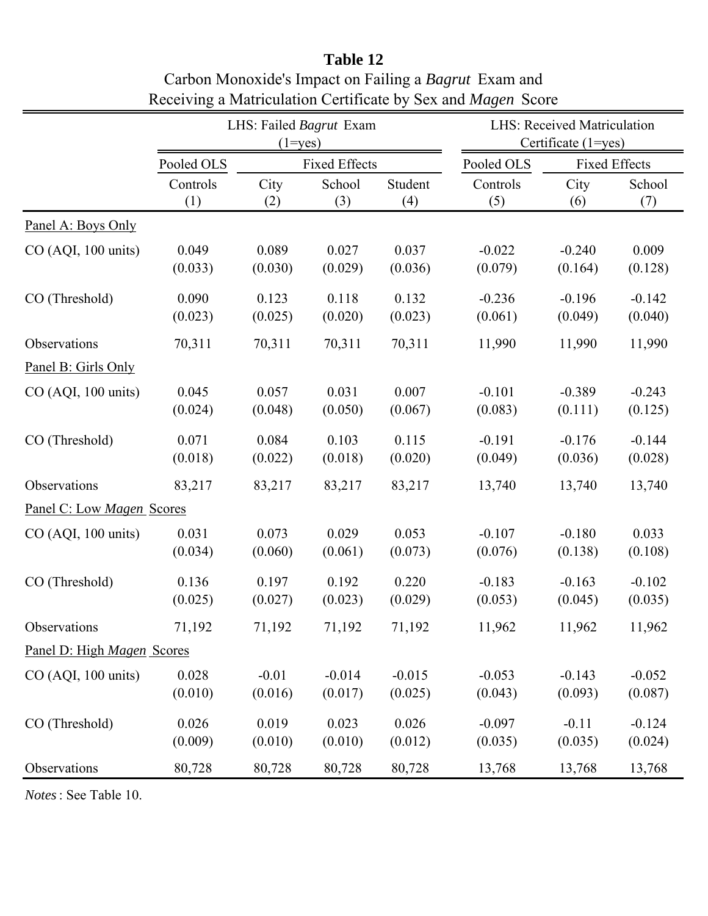|                                     | LHS: Failed Bagrut Exam<br>$(1 = yes)$ |                      |          |          | <b>LHS: Received Matriculation</b><br>Certificate (1=yes) |                      |          |  |
|-------------------------------------|----------------------------------------|----------------------|----------|----------|-----------------------------------------------------------|----------------------|----------|--|
|                                     | Pooled OLS                             | <b>Fixed Effects</b> |          |          | Pooled OLS                                                | <b>Fixed Effects</b> |          |  |
|                                     | Controls                               | City                 | School   | Student  | Controls                                                  | City                 | School   |  |
|                                     | (1)                                    | (2)                  | (3)      | (4)      | (5)                                                       | (6)                  | (7)      |  |
| Panel A: Boys Only                  |                                        |                      |          |          |                                                           |                      |          |  |
| CO (AQI, 100 units)                 | 0.049                                  | 0.089                | 0.027    | 0.037    | $-0.022$                                                  | $-0.240$             | 0.009    |  |
|                                     | (0.033)                                | (0.030)              | (0.029)  | (0.036)  | (0.079)                                                   | (0.164)              | (0.128)  |  |
| CO (Threshold)                      | 0.090                                  | 0.123                | 0.118    | 0.132    | $-0.236$                                                  | $-0.196$             | $-0.142$ |  |
|                                     | (0.023)                                | (0.025)              | (0.020)  | (0.023)  | (0.061)                                                   | (0.049)              | (0.040)  |  |
| Observations<br>Panel B: Girls Only | 70,311                                 | 70,311               | 70,311   | 70,311   | 11,990                                                    | 11,990               | 11,990   |  |
| CO (AQI, 100 units)                 | 0.045                                  | 0.057                | 0.031    | 0.007    | $-0.101$                                                  | $-0.389$             | $-0.243$ |  |
|                                     | (0.024)                                | (0.048)              | (0.050)  | (0.067)  | (0.083)                                                   | (0.111)              | (0.125)  |  |
| CO (Threshold)                      | 0.071                                  | 0.084                | 0.103    | 0.115    | $-0.191$                                                  | $-0.176$             | $-0.144$ |  |
|                                     | (0.018)                                | (0.022)              | (0.018)  | (0.020)  | (0.049)                                                   | (0.036)              | (0.028)  |  |
| Observations                        | 83,217                                 | 83,217               | 83,217   | 83,217   | 13,740                                                    | 13,740               | 13,740   |  |
| Panel C: Low Magen Scores           |                                        |                      |          |          |                                                           |                      |          |  |
| CO (AQI, 100 units)                 | 0.031                                  | 0.073                | 0.029    | 0.053    | $-0.107$                                                  | $-0.180$             | 0.033    |  |
|                                     | (0.034)                                | (0.060)              | (0.061)  | (0.073)  | (0.076)                                                   | (0.138)              | (0.108)  |  |
| CO (Threshold)                      | 0.136                                  | 0.197                | 0.192    | 0.220    | $-0.183$                                                  | $-0.163$             | $-0.102$ |  |
|                                     | (0.025)                                | (0.027)              | (0.023)  | (0.029)  | (0.053)                                                   | (0.045)              | (0.035)  |  |
| Observations                        | 71,192                                 | 71,192               | 71,192   | 71,192   | 11,962                                                    | 11,962               | 11,962   |  |
| Panel D: High Magen Scores          |                                        |                      |          |          |                                                           |                      |          |  |
| CO (AQI, 100 units)                 | 0.028                                  | $-0.01$              | $-0.014$ | $-0.015$ | $-0.053$                                                  | $-0.143$             | $-0.052$ |  |
|                                     | (0.010)                                | (0.016)              | (0.017)  | (0.025)  | (0.043)                                                   | (0.093)              | (0.087)  |  |
| CO (Threshold)                      | 0.026                                  | 0.019                | 0.023    | 0.026    | $-0.097$                                                  | $-0.11$              | $-0.124$ |  |
|                                     | (0.009)                                | (0.010)              | (0.010)  | (0.012)  | (0.035)                                                   | (0.035)              | (0.024)  |  |
| Observations                        | 80,728                                 | 80,728               | 80,728   | 80,728   | 13,768                                                    | 13,768               | 13,768   |  |

# **Table 12** Carbon Monoxide's Impact on Failing a *Bagrut* Exam and Receiving a Matriculation Certificate by Sex and *Magen* Score

*Notes*: See Table 10.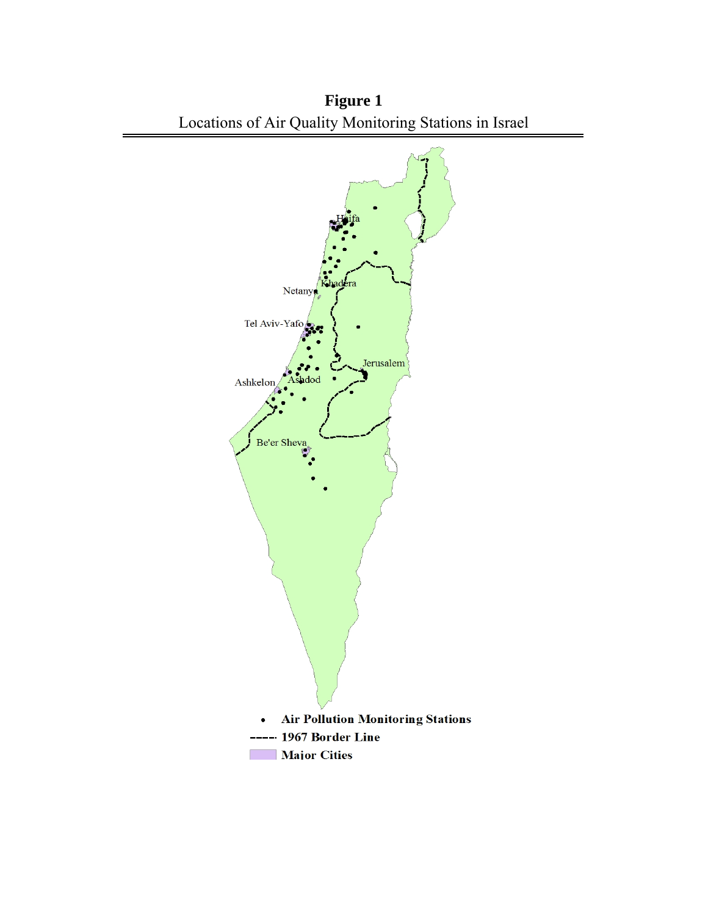

**Figure 1**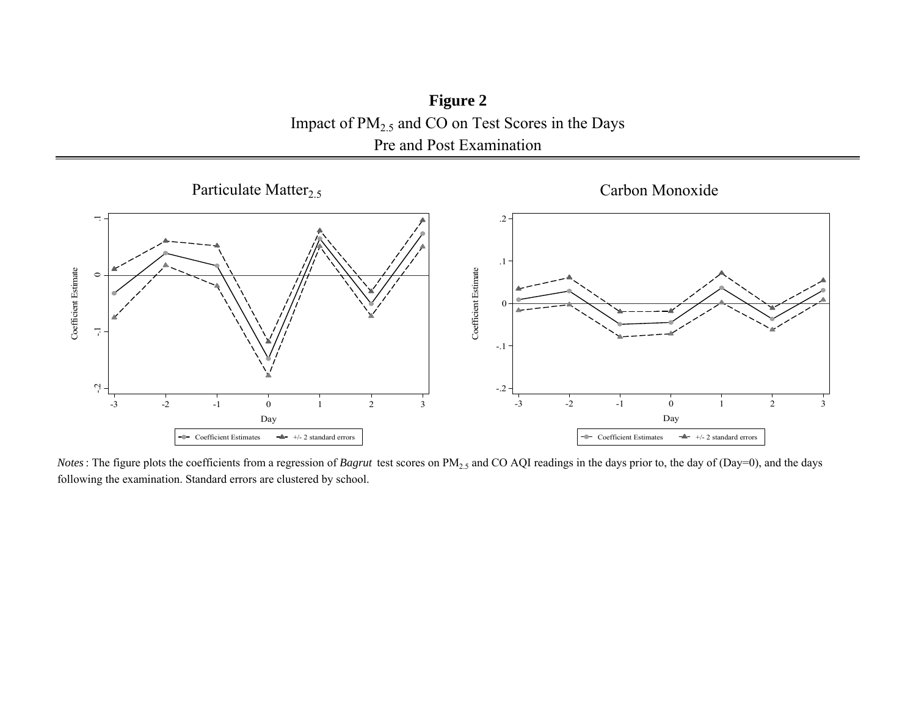**Figure 2** Impact of  $PM_{2.5}$  and CO on Test Scores in the Days Pre and Post Examination



*Notes*: The figure plots the coefficients from a regression of *Bagrut* test scores on PM<sub>2.5</sub> and CO AQI readings in the days prior to, the day of (Day=0), and the days following the examination. Standard errors are clustered by school.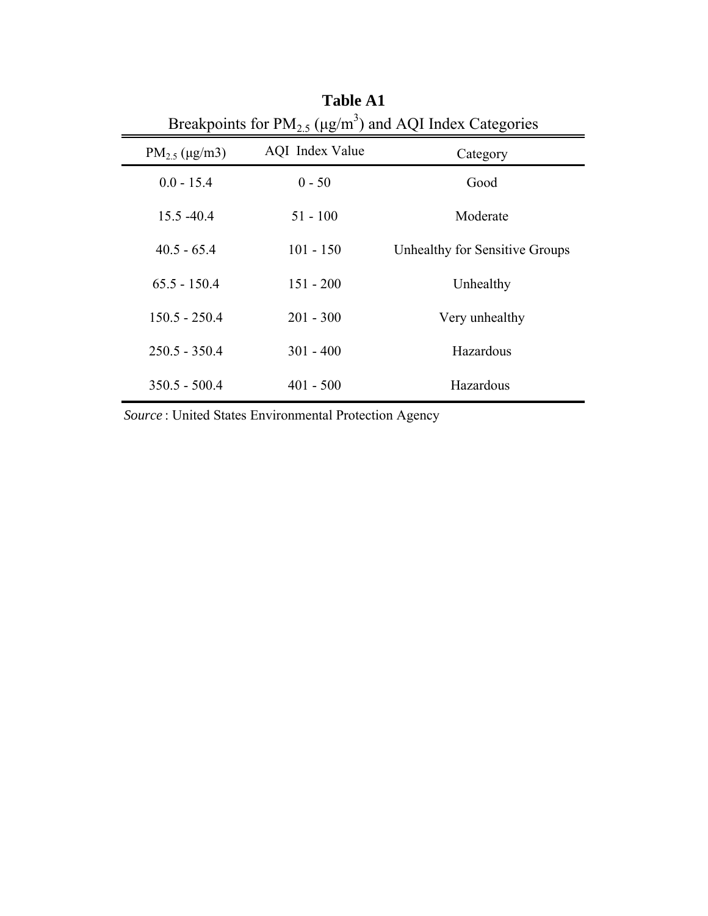| Breakpoints for $PM_{2.5}$ (µg/m <sup>3</sup> ) and AQI Index Categories |                 |                                |  |  |  |  |  |
|--------------------------------------------------------------------------|-----------------|--------------------------------|--|--|--|--|--|
| $PM_{2.5}$ (µg/m3)                                                       | AQI Index Value | Category                       |  |  |  |  |  |
| $0.0 - 15.4$                                                             | $0 - 50$        | Good                           |  |  |  |  |  |
| 15.5 - 40.4                                                              | $51 - 100$      | Moderate                       |  |  |  |  |  |
| $40.5 - 65.4$                                                            | $101 - 150$     | Unhealthy for Sensitive Groups |  |  |  |  |  |
| $65.5 - 150.4$                                                           | $151 - 200$     | Unhealthy                      |  |  |  |  |  |
| $150.5 - 250.4$                                                          | $201 - 300$     | Very unhealthy                 |  |  |  |  |  |
| $250.5 - 350.4$                                                          | $301 - 400$     | Hazardous                      |  |  |  |  |  |
| $350.5 - 500.4$                                                          | $401 - 500$     | Hazardous                      |  |  |  |  |  |

Breakpoints for  $PM_{2.5}$  (µg/m<sup>3</sup> **Table A1**

*Source* : United States Environmental Protection Agency